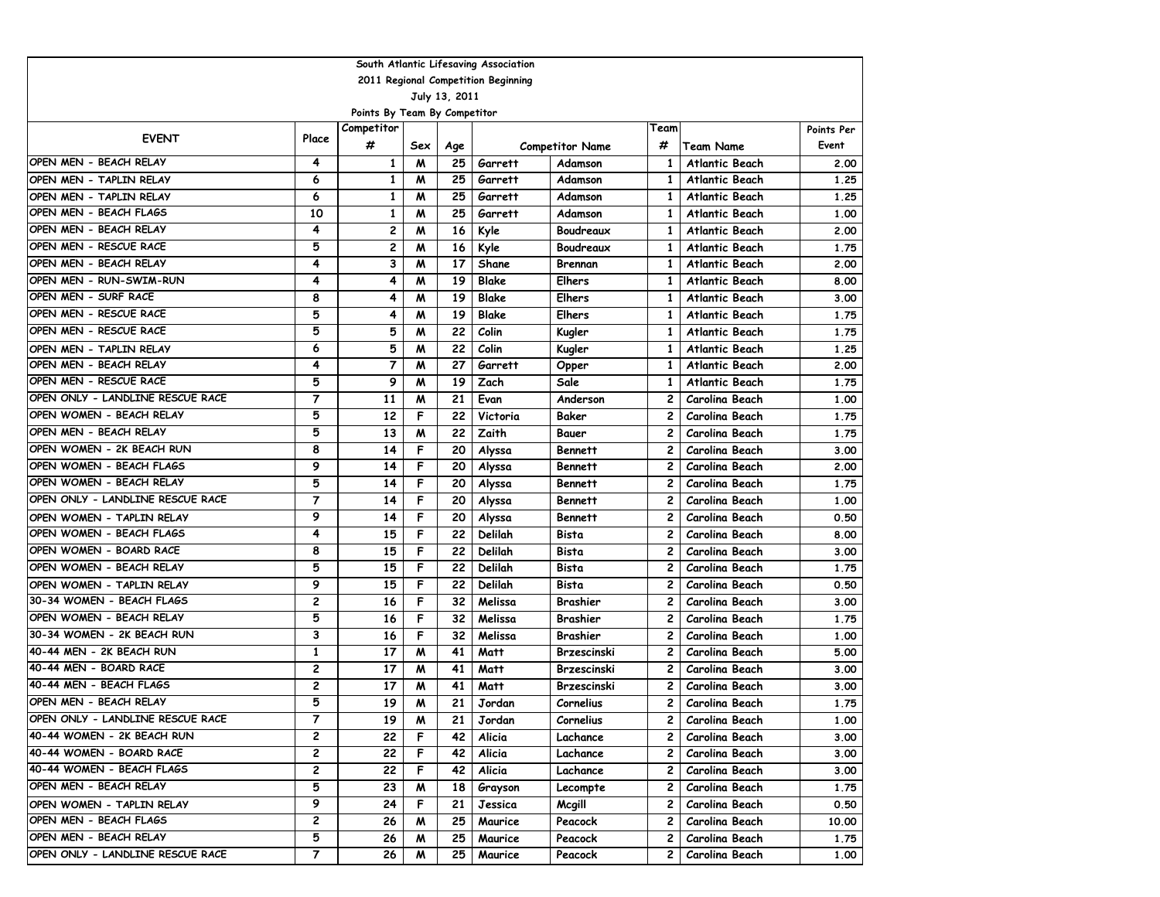| South Atlantic Lifesaving Association |                         |                              |     |               |                                     |                        |                |                       |            |  |  |  |
|---------------------------------------|-------------------------|------------------------------|-----|---------------|-------------------------------------|------------------------|----------------|-----------------------|------------|--|--|--|
|                                       |                         |                              |     |               | 2011 Regional Competition Beginning |                        |                |                       |            |  |  |  |
|                                       |                         |                              |     | July 13, 2011 |                                     |                        |                |                       |            |  |  |  |
|                                       |                         | Points By Team By Competitor |     |               |                                     |                        |                |                       |            |  |  |  |
| <b>EVENT</b>                          | Place                   | Competitor                   |     |               |                                     |                        | Team           |                       | Points Per |  |  |  |
|                                       |                         | #                            | Sex | Age           |                                     | <b>Competitor Name</b> | #              | <b>Team Name</b>      | Event      |  |  |  |
| OPEN MEN - BEACH RELAY                | 4                       | 1                            | M   | 25            | Garrett                             | Adamson                | 1              | <b>Atlantic Beach</b> | 2.00       |  |  |  |
| OPEN MEN - TAPLIN RELAY               | 6                       | 1                            | M   | 25            | Garrett                             | Adamson                | 1              | <b>Atlantic Beach</b> | 1.25       |  |  |  |
| OPEN MEN - TAPLIN RELAY               | 6                       | $\mathbf{1}$                 | M   | 25            | Garrett                             | Adamson                | 1              | <b>Atlantic Beach</b> | 1.25       |  |  |  |
| OPEN MEN - BEACH FLAGS                | 10                      | 1                            | M   | 25            | Garrett                             | Adamson                | 1              | <b>Atlantic Beach</b> | 1.00       |  |  |  |
| OPEN MEN - BEACH RELAY                | 4                       | 2                            | M   | 16            | Kyle                                | Boudreaux              | 1              | <b>Atlantic Beach</b> | 2.00       |  |  |  |
| OPEN MEN - RESCUE RACE                | 5                       | 2                            | M   | 16            | Kyle                                | Boudreaux              | 1              | <b>Atlantic Beach</b> | 1.75       |  |  |  |
| OPEN MEN - BEACH RELAY                | 4                       | 3                            | M   | 17            | Shane                               | Brennan                | 1              | <b>Atlantic Beach</b> | 2.00       |  |  |  |
| OPEN MEN - RUN-SWIM-RUN               | 4                       | 4                            | M   | 19            | <b>Blake</b>                        | <b>Elhers</b>          | 1              | <b>Atlantic Beach</b> | 8.00       |  |  |  |
| OPEN MEN - SURF RACE                  | 8                       | 4                            | M   | 19            | Blake                               | <b>Elhers</b>          | 1              | <b>Atlantic Beach</b> | 3.00       |  |  |  |
| OPEN MEN - RESCUE RACE                | 5                       | 4                            | M   | 19            | <b>Blake</b>                        | <b>Elhers</b>          | 1              | <b>Atlantic Beach</b> | 1.75       |  |  |  |
| OPEN MEN - RESCUE RACE                | 5                       | 5                            | M   | 22            | Colin                               | Kugler                 | 1              | <b>Atlantic Beach</b> | 1.75       |  |  |  |
| OPEN MEN - TAPLIN RELAY               | 6                       | 5                            | M   | 22            | Colin                               | Kugler                 | 1              | <b>Atlantic Beach</b> | 1.25       |  |  |  |
| OPEN MEN - BEACH RELAY                | 4                       | $\overline{7}$               | M   | 27            | Garrett                             | Opper                  | 1              | <b>Atlantic Beach</b> | 2.00       |  |  |  |
| OPEN MEN - RESCUE RACE                | 5                       | 9                            | M   | 19            | Zach                                | Sale                   | 1              | <b>Atlantic Beach</b> | 1.75       |  |  |  |
| OPEN ONLY - LANDLINE RESCUE RACE      | $\overline{7}$          | 11                           | M   | 21            | Evan                                | Anderson               | $\overline{c}$ | Carolina Beach        | 1.00       |  |  |  |
| OPEN WOMEN - BEACH RELAY              | 5                       | 12                           | F   | 22            | Victoria                            | Baker                  | 2              | Carolina Beach        | 1.75       |  |  |  |
| OPEN MEN - BEACH RELAY                | 5                       | 13                           | M   | 22            | Zaith                               | Bauer                  | 2              | Carolina Beach        | 1.75       |  |  |  |
| OPEN WOMEN - 2K BEACH RUN             | 8                       | 14                           | F   | 20            | Alyssa                              | <b>Bennett</b>         | 2              | Carolina Beach        | 3.00       |  |  |  |
| OPEN WOMEN - BEACH FLAGS              | 9                       | 14                           | F   | 20            | Alyssa                              | <b>Bennett</b>         | 2              | Carolina Beach        | 2.00       |  |  |  |
| OPEN WOMEN - BEACH RELAY              | 5                       | 14                           | F   | 20            | Alyssa                              | <b>Bennett</b>         | $\mathbf{2}$   | Carolina Beach        | 1.75       |  |  |  |
| OPEN ONLY - LANDLINE RESCUE RACE      | $\overline{7}$          | 14                           | F   | 20            | Alyssa                              | <b>Bennett</b>         | $\overline{c}$ | Carolina Beach        | 1.00       |  |  |  |
| OPEN WOMEN - TAPLIN RELAY             | 9                       | 14                           | F   | 20            | Alyssa                              | <b>Bennett</b>         | $\overline{c}$ | Carolina Beach        | 0.50       |  |  |  |
| OPEN WOMEN - BEACH FLAGS              | 4                       | 15                           | F   | 22            | Delilah                             | Bista                  | 2              | Carolina Beach        | 8.00       |  |  |  |
| OPEN WOMEN - BOARD RACE               | 8                       | 15                           | F   | 22            | Delilah                             | Bista                  | 2              | <b>Carolina Beach</b> | 3.00       |  |  |  |
| OPEN WOMEN - BEACH RELAY              | 5                       | 15                           | F   | 22            | Delilah                             | Bista                  | 2              | Carolina Beach        | 1.75       |  |  |  |
| OPEN WOMEN - TAPLIN RELAY             | 9                       | 15                           | F   | 22            | Delilah                             | Bista                  | 2              | Carolina Beach        | 0.50       |  |  |  |
| 30-34 WOMEN - BEACH FLAGS             | $\overline{c}$          | 16                           | F   | 32            | Melissa                             | Brashier               | $\overline{c}$ | Carolina Beach        | 3.00       |  |  |  |
| OPEN WOMEN - BEACH RELAY              | 5                       | 16                           | F   | 32            | Melissa                             | Brashier               | $\overline{c}$ | Carolina Beach        | 1.75       |  |  |  |
| 30-34 WOMEN - 2K BEACH RUN            | 3                       | 16                           | F   | 32            | Melissa                             | Brashier               | $\overline{c}$ | Carolina Beach        | 1.00       |  |  |  |
| 40-44 MEN - 2K BEACH RUN              | $\mathbf{1}$            | 17                           | M   | 41            | Matt                                | Brzescinski            | 2              | Carolina Beach        | 5.00       |  |  |  |
| 40-44 MEN - BOARD RACE                | 2                       | 17                           | M   | 41            | Matt                                | <b>Brzescinski</b>     | 2              | Carolina Beach        | 3.00       |  |  |  |
| 40-44 MEN - BEACH FLAGS               | 2                       | 17                           | M   | 41            | Matt                                | Brzescinski            | 2              | Carolina Beach        | 3.00       |  |  |  |
| OPEN MEN - BEACH RELAY                | 5                       | 19                           | M   | 21            | Jordan                              | Cornelius              | 2              | Carolina Beach        | 1.75       |  |  |  |
| OPEN ONLY - LANDLINE RESCUE RACE      | 7                       | 19                           | M   | 21            | Jordan                              | Cornelius              | 2              | Carolina Beach        | 1.00       |  |  |  |
| 40-44 WOMEN - 2K BEACH RUN            | 2                       | 22                           | F   | 42            | Alicia                              | Lachance               | 2              | Carolina Beach        | 3.00       |  |  |  |
| 40-44 WOMEN - BOARD RACE              | 2                       | 22                           | F   | 42            | Alicia                              | Lachance               | 2              | Carolina Beach        | 3.00       |  |  |  |
| 40-44 WOMEN - BEACH FLAGS             | 2                       | 22                           | F   | 42            | Alicia                              | Lachance               | $\mathbf{2}$   | Carolina Beach        | 3.00       |  |  |  |
| OPEN MEN - BEACH RELAY                | 5                       | 23                           | M   | 18            | Grayson                             | Lecompte               | 2              | Carolina Beach        | 1.75       |  |  |  |
| OPEN WOMEN - TAPLIN RELAY             | 9                       | 24                           | F   | 21            | Jessica                             | Mcgill                 | 2              | Carolina Beach        | 0.50       |  |  |  |
| OPEN MEN - BEACH FLAGS                | 2                       | 26                           | M   | 25            | Maurice                             | Peacock                | $\mathbf{2}$   | Carolina Beach        | 10.00      |  |  |  |
| OPEN MEN - BEACH RELAY                | 5                       | 26                           | M   | 25            | Maurice                             | Peacock                | 2              | Carolina Beach        | 1.75       |  |  |  |
| OPEN ONLY - LANDLINE RESCUE RACE      | $\overline{\mathbf{z}}$ | 26                           | M   | 25            | Maurice                             | Peacock                | 2              | Carolina Beach        | 1.00       |  |  |  |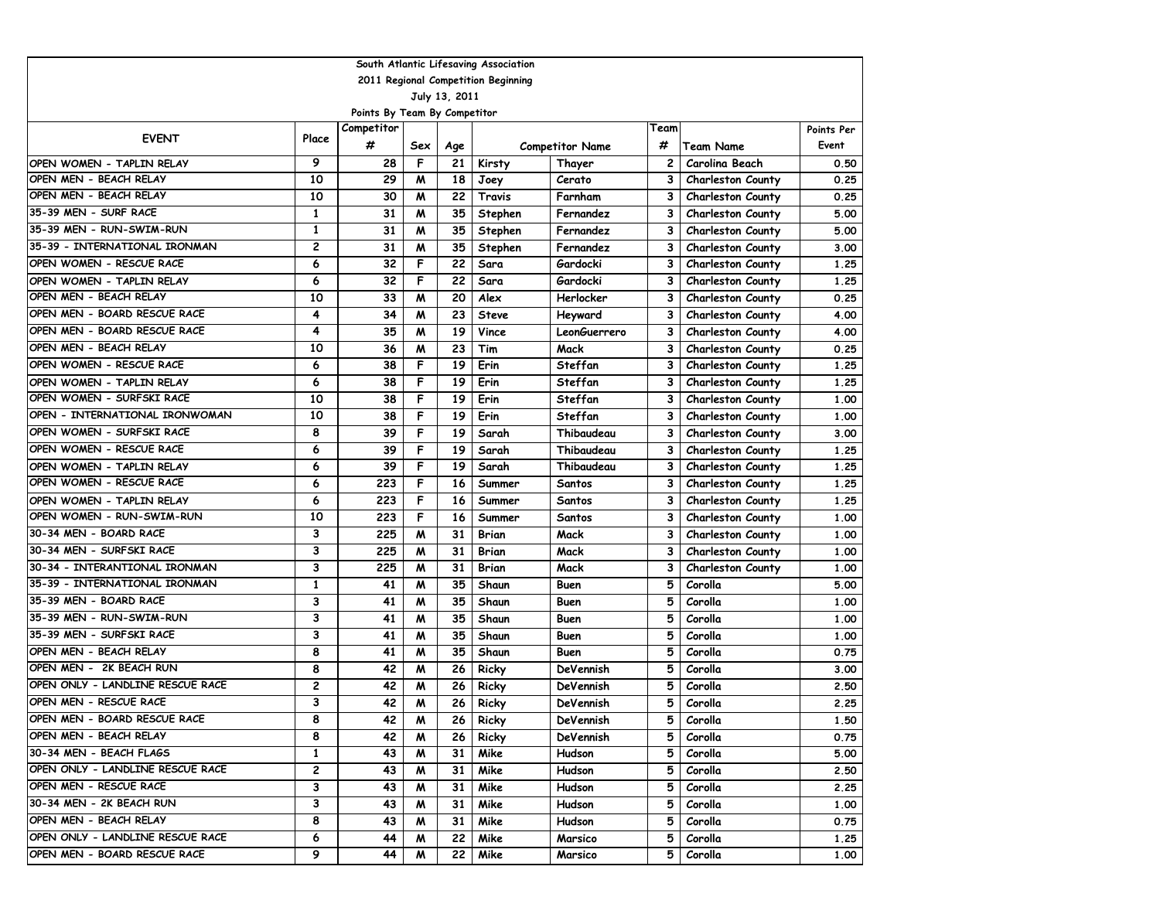| 2011 Regional Competition Beginning<br>July 13, 2011<br>Points By Team By Competitor<br>Competitor<br>Team<br>Points Per<br><b>EVENT</b><br>Place<br>#<br>#<br>Event<br><b>Competitor Name</b><br>Team Name<br>Sex<br>Age<br>9<br>F<br>28<br>21<br>$\mathbf{2}$<br>Carolina Beach<br>OPEN WOMEN - TAPLIN RELAY<br>Kirsty<br>Thayer<br>OPEN MEN - BEACH RELAY<br>10<br>29<br>M<br>18<br>3<br>Cerato<br><b>Charleston County</b><br>Joey<br>OPEN MEN - BEACH RELAY<br>10<br>30<br>22<br>M<br>Travis<br>3<br>Farnham<br><b>Charleston County</b><br>35-39 MEN - SURF RACE<br>$\mathbf{1}$<br>31<br>35<br>M<br>3<br>Stephen<br>Fernandez<br><b>Charleston County</b><br>35-39 MEN - RUN-SWIM-RUN<br>1<br>31<br>M<br>35<br>З<br>Stephen<br>Fernandez<br><b>Charleston County</b><br>35-39 - INTERNATIONAL IRONMAN<br>2<br>31<br>M<br>35<br>3<br>Stephen<br>Fernandez<br><b>Charleston County</b><br>OPEN WOMEN - RESCUE RACE<br>6<br>F<br>32<br>22<br>Sara<br>Gardocki<br>3<br>Charleston County<br>6<br>32<br>F<br>22<br>Gardocki<br>3<br>OPEN WOMEN - TAPLIN RELAY<br>Sara<br><b>Charleston County</b><br>OPEN MEN - BEACH RELAY<br>10<br>20<br>33<br>M<br>Alex<br>Herlocker<br>3<br><b>Charleston County</b><br>OPEN MEN - BOARD RESCUE RACE<br>4<br>23<br>3<br>34<br>M<br>Heyward<br><b>Steve</b><br><b>Charleston County</b><br>OPEN MEN - BOARD RESCUE RACE<br>19<br>4<br>35<br>Vince<br>LeonGuerrero<br>3<br>M<br><b>Charleston County</b><br>OPEN MEN - BEACH RELAY<br>23<br>10<br>36<br>Tim<br>Mack<br>3<br>M<br><b>Charleston County</b><br>OPEN WOMEN - RESCUE RACE<br>6<br>Erin<br>F<br>19<br>Steffan<br>3<br>38<br><b>Charleston County</b><br>6<br>F<br>19<br>38<br>Erin<br>Steffan<br>3<br>OPEN WOMEN - TAPLIN RELAY<br><b>Charleston County</b><br>F<br>OPEN WOMEN - SURFSKI RACE<br>19<br>10<br>38<br>Erin<br>Steffan<br>3 | South Atlantic Lifesaving Association |  |  |  |  |  |  |  |                          |      |  |  |  |
|----------------------------------------------------------------------------------------------------------------------------------------------------------------------------------------------------------------------------------------------------------------------------------------------------------------------------------------------------------------------------------------------------------------------------------------------------------------------------------------------------------------------------------------------------------------------------------------------------------------------------------------------------------------------------------------------------------------------------------------------------------------------------------------------------------------------------------------------------------------------------------------------------------------------------------------------------------------------------------------------------------------------------------------------------------------------------------------------------------------------------------------------------------------------------------------------------------------------------------------------------------------------------------------------------------------------------------------------------------------------------------------------------------------------------------------------------------------------------------------------------------------------------------------------------------------------------------------------------------------------------------------------------------------------------------------------------------------------------------------------------------------------------------------------------------------------------------------|---------------------------------------|--|--|--|--|--|--|--|--------------------------|------|--|--|--|
|                                                                                                                                                                                                                                                                                                                                                                                                                                                                                                                                                                                                                                                                                                                                                                                                                                                                                                                                                                                                                                                                                                                                                                                                                                                                                                                                                                                                                                                                                                                                                                                                                                                                                                                                                                                                                                        |                                       |  |  |  |  |  |  |  |                          |      |  |  |  |
|                                                                                                                                                                                                                                                                                                                                                                                                                                                                                                                                                                                                                                                                                                                                                                                                                                                                                                                                                                                                                                                                                                                                                                                                                                                                                                                                                                                                                                                                                                                                                                                                                                                                                                                                                                                                                                        |                                       |  |  |  |  |  |  |  |                          |      |  |  |  |
|                                                                                                                                                                                                                                                                                                                                                                                                                                                                                                                                                                                                                                                                                                                                                                                                                                                                                                                                                                                                                                                                                                                                                                                                                                                                                                                                                                                                                                                                                                                                                                                                                                                                                                                                                                                                                                        |                                       |  |  |  |  |  |  |  |                          |      |  |  |  |
|                                                                                                                                                                                                                                                                                                                                                                                                                                                                                                                                                                                                                                                                                                                                                                                                                                                                                                                                                                                                                                                                                                                                                                                                                                                                                                                                                                                                                                                                                                                                                                                                                                                                                                                                                                                                                                        |                                       |  |  |  |  |  |  |  |                          |      |  |  |  |
|                                                                                                                                                                                                                                                                                                                                                                                                                                                                                                                                                                                                                                                                                                                                                                                                                                                                                                                                                                                                                                                                                                                                                                                                                                                                                                                                                                                                                                                                                                                                                                                                                                                                                                                                                                                                                                        |                                       |  |  |  |  |  |  |  |                          |      |  |  |  |
|                                                                                                                                                                                                                                                                                                                                                                                                                                                                                                                                                                                                                                                                                                                                                                                                                                                                                                                                                                                                                                                                                                                                                                                                                                                                                                                                                                                                                                                                                                                                                                                                                                                                                                                                                                                                                                        |                                       |  |  |  |  |  |  |  |                          | 0.50 |  |  |  |
|                                                                                                                                                                                                                                                                                                                                                                                                                                                                                                                                                                                                                                                                                                                                                                                                                                                                                                                                                                                                                                                                                                                                                                                                                                                                                                                                                                                                                                                                                                                                                                                                                                                                                                                                                                                                                                        |                                       |  |  |  |  |  |  |  |                          | 0.25 |  |  |  |
|                                                                                                                                                                                                                                                                                                                                                                                                                                                                                                                                                                                                                                                                                                                                                                                                                                                                                                                                                                                                                                                                                                                                                                                                                                                                                                                                                                                                                                                                                                                                                                                                                                                                                                                                                                                                                                        |                                       |  |  |  |  |  |  |  |                          | 0.25 |  |  |  |
|                                                                                                                                                                                                                                                                                                                                                                                                                                                                                                                                                                                                                                                                                                                                                                                                                                                                                                                                                                                                                                                                                                                                                                                                                                                                                                                                                                                                                                                                                                                                                                                                                                                                                                                                                                                                                                        |                                       |  |  |  |  |  |  |  |                          | 5.00 |  |  |  |
|                                                                                                                                                                                                                                                                                                                                                                                                                                                                                                                                                                                                                                                                                                                                                                                                                                                                                                                                                                                                                                                                                                                                                                                                                                                                                                                                                                                                                                                                                                                                                                                                                                                                                                                                                                                                                                        |                                       |  |  |  |  |  |  |  |                          | 5.00 |  |  |  |
|                                                                                                                                                                                                                                                                                                                                                                                                                                                                                                                                                                                                                                                                                                                                                                                                                                                                                                                                                                                                                                                                                                                                                                                                                                                                                                                                                                                                                                                                                                                                                                                                                                                                                                                                                                                                                                        |                                       |  |  |  |  |  |  |  |                          | 3.00 |  |  |  |
|                                                                                                                                                                                                                                                                                                                                                                                                                                                                                                                                                                                                                                                                                                                                                                                                                                                                                                                                                                                                                                                                                                                                                                                                                                                                                                                                                                                                                                                                                                                                                                                                                                                                                                                                                                                                                                        |                                       |  |  |  |  |  |  |  |                          | 1.25 |  |  |  |
|                                                                                                                                                                                                                                                                                                                                                                                                                                                                                                                                                                                                                                                                                                                                                                                                                                                                                                                                                                                                                                                                                                                                                                                                                                                                                                                                                                                                                                                                                                                                                                                                                                                                                                                                                                                                                                        |                                       |  |  |  |  |  |  |  |                          | 1.25 |  |  |  |
|                                                                                                                                                                                                                                                                                                                                                                                                                                                                                                                                                                                                                                                                                                                                                                                                                                                                                                                                                                                                                                                                                                                                                                                                                                                                                                                                                                                                                                                                                                                                                                                                                                                                                                                                                                                                                                        |                                       |  |  |  |  |  |  |  |                          | 0.25 |  |  |  |
|                                                                                                                                                                                                                                                                                                                                                                                                                                                                                                                                                                                                                                                                                                                                                                                                                                                                                                                                                                                                                                                                                                                                                                                                                                                                                                                                                                                                                                                                                                                                                                                                                                                                                                                                                                                                                                        |                                       |  |  |  |  |  |  |  |                          | 4.00 |  |  |  |
|                                                                                                                                                                                                                                                                                                                                                                                                                                                                                                                                                                                                                                                                                                                                                                                                                                                                                                                                                                                                                                                                                                                                                                                                                                                                                                                                                                                                                                                                                                                                                                                                                                                                                                                                                                                                                                        |                                       |  |  |  |  |  |  |  |                          | 4.00 |  |  |  |
|                                                                                                                                                                                                                                                                                                                                                                                                                                                                                                                                                                                                                                                                                                                                                                                                                                                                                                                                                                                                                                                                                                                                                                                                                                                                                                                                                                                                                                                                                                                                                                                                                                                                                                                                                                                                                                        |                                       |  |  |  |  |  |  |  |                          | 0.25 |  |  |  |
|                                                                                                                                                                                                                                                                                                                                                                                                                                                                                                                                                                                                                                                                                                                                                                                                                                                                                                                                                                                                                                                                                                                                                                                                                                                                                                                                                                                                                                                                                                                                                                                                                                                                                                                                                                                                                                        |                                       |  |  |  |  |  |  |  |                          | 1.25 |  |  |  |
|                                                                                                                                                                                                                                                                                                                                                                                                                                                                                                                                                                                                                                                                                                                                                                                                                                                                                                                                                                                                                                                                                                                                                                                                                                                                                                                                                                                                                                                                                                                                                                                                                                                                                                                                                                                                                                        |                                       |  |  |  |  |  |  |  |                          | 1.25 |  |  |  |
|                                                                                                                                                                                                                                                                                                                                                                                                                                                                                                                                                                                                                                                                                                                                                                                                                                                                                                                                                                                                                                                                                                                                                                                                                                                                                                                                                                                                                                                                                                                                                                                                                                                                                                                                                                                                                                        |                                       |  |  |  |  |  |  |  | <b>Charleston County</b> | 1.00 |  |  |  |
| OPEN - INTERNATIONAL IRONWOMAN<br>10<br>F<br>38<br>19<br>Erin<br>Steffan<br>3<br><b>Charleston County</b>                                                                                                                                                                                                                                                                                                                                                                                                                                                                                                                                                                                                                                                                                                                                                                                                                                                                                                                                                                                                                                                                                                                                                                                                                                                                                                                                                                                                                                                                                                                                                                                                                                                                                                                              |                                       |  |  |  |  |  |  |  |                          | 1.00 |  |  |  |
| OPEN WOMEN - SURFSKI RACE<br>8<br>39<br>F<br>19<br>Sarah<br>Thibaudeau<br>3<br><b>Charleston County</b>                                                                                                                                                                                                                                                                                                                                                                                                                                                                                                                                                                                                                                                                                                                                                                                                                                                                                                                                                                                                                                                                                                                                                                                                                                                                                                                                                                                                                                                                                                                                                                                                                                                                                                                                |                                       |  |  |  |  |  |  |  |                          | 3.00 |  |  |  |
| OPEN WOMEN - RESCUE RACE<br>6<br>F<br>19<br>39<br>Sarah<br>Thibaudeau<br>3<br><b>Charleston County</b>                                                                                                                                                                                                                                                                                                                                                                                                                                                                                                                                                                                                                                                                                                                                                                                                                                                                                                                                                                                                                                                                                                                                                                                                                                                                                                                                                                                                                                                                                                                                                                                                                                                                                                                                 |                                       |  |  |  |  |  |  |  |                          | 1.25 |  |  |  |
| F<br>19<br>6<br>39<br>Thibaudeau<br>3<br>OPEN WOMEN - TAPLIN RELAY<br>Sarah<br><b>Charleston County</b>                                                                                                                                                                                                                                                                                                                                                                                                                                                                                                                                                                                                                                                                                                                                                                                                                                                                                                                                                                                                                                                                                                                                                                                                                                                                                                                                                                                                                                                                                                                                                                                                                                                                                                                                |                                       |  |  |  |  |  |  |  |                          | 1.25 |  |  |  |
| OPEN WOMEN - RESCUE RACE<br>6<br>223<br>F<br>16<br>3<br>Summer<br>Santos<br><b>Charleston County</b>                                                                                                                                                                                                                                                                                                                                                                                                                                                                                                                                                                                                                                                                                                                                                                                                                                                                                                                                                                                                                                                                                                                                                                                                                                                                                                                                                                                                                                                                                                                                                                                                                                                                                                                                   |                                       |  |  |  |  |  |  |  |                          | 1.25 |  |  |  |
| 6<br>223<br>F<br>OPEN WOMEN - TAPLIN RELAY<br>16<br>3<br>Summer<br>Santos<br><b>Charleston County</b>                                                                                                                                                                                                                                                                                                                                                                                                                                                                                                                                                                                                                                                                                                                                                                                                                                                                                                                                                                                                                                                                                                                                                                                                                                                                                                                                                                                                                                                                                                                                                                                                                                                                                                                                  |                                       |  |  |  |  |  |  |  |                          | 1.25 |  |  |  |
| OPEN WOMEN - RUN-SWIM-RUN<br>10<br>223<br>F<br>16<br>3<br>Summer<br>Santos<br><b>Charleston County</b>                                                                                                                                                                                                                                                                                                                                                                                                                                                                                                                                                                                                                                                                                                                                                                                                                                                                                                                                                                                                                                                                                                                                                                                                                                                                                                                                                                                                                                                                                                                                                                                                                                                                                                                                 |                                       |  |  |  |  |  |  |  |                          | 1.00 |  |  |  |
| 30-34 MEN - BOARD RACE<br>3<br>225<br>31<br>M<br><b>Brian</b><br>Mack<br>3<br>Charleston County                                                                                                                                                                                                                                                                                                                                                                                                                                                                                                                                                                                                                                                                                                                                                                                                                                                                                                                                                                                                                                                                                                                                                                                                                                                                                                                                                                                                                                                                                                                                                                                                                                                                                                                                        |                                       |  |  |  |  |  |  |  |                          | 1.00 |  |  |  |
| 30-34 MEN - SURFSKI RACE<br>3<br>225<br>31<br>M<br><b>Brian</b><br>Mack<br>3<br>Charleston County                                                                                                                                                                                                                                                                                                                                                                                                                                                                                                                                                                                                                                                                                                                                                                                                                                                                                                                                                                                                                                                                                                                                                                                                                                                                                                                                                                                                                                                                                                                                                                                                                                                                                                                                      |                                       |  |  |  |  |  |  |  |                          | 1.00 |  |  |  |
| 30-34 - INTERANTIONAL IRONMAN<br>3<br>31<br>225<br><b>Brian</b><br>Mack<br>3<br>Charleston County<br>M                                                                                                                                                                                                                                                                                                                                                                                                                                                                                                                                                                                                                                                                                                                                                                                                                                                                                                                                                                                                                                                                                                                                                                                                                                                                                                                                                                                                                                                                                                                                                                                                                                                                                                                                 |                                       |  |  |  |  |  |  |  |                          | 1.00 |  |  |  |
| 35-39 - INTERNATIONAL IRONMAN<br>35<br>5<br>1<br>41<br>Shaun<br>Corolla<br>M<br>Buen                                                                                                                                                                                                                                                                                                                                                                                                                                                                                                                                                                                                                                                                                                                                                                                                                                                                                                                                                                                                                                                                                                                                                                                                                                                                                                                                                                                                                                                                                                                                                                                                                                                                                                                                                   |                                       |  |  |  |  |  |  |  |                          | 5.00 |  |  |  |
| 35-39 MEN - BOARD RACE<br>3<br>5<br>41<br>M<br>35<br>Shaun<br>Corolla<br>Buen                                                                                                                                                                                                                                                                                                                                                                                                                                                                                                                                                                                                                                                                                                                                                                                                                                                                                                                                                                                                                                                                                                                                                                                                                                                                                                                                                                                                                                                                                                                                                                                                                                                                                                                                                          |                                       |  |  |  |  |  |  |  |                          | 1.00 |  |  |  |
| 35-39 MEN - RUN-SWIM-RUN<br>3<br>35<br>5<br>41<br>M<br>Shaun<br>Corolla<br>Buen                                                                                                                                                                                                                                                                                                                                                                                                                                                                                                                                                                                                                                                                                                                                                                                                                                                                                                                                                                                                                                                                                                                                                                                                                                                                                                                                                                                                                                                                                                                                                                                                                                                                                                                                                        |                                       |  |  |  |  |  |  |  |                          | 1.00 |  |  |  |
| 35-39 MEN - SURFSKI RACE<br>3<br>41<br>35<br>5<br>M<br>Shaun<br>Corolla<br>Buen                                                                                                                                                                                                                                                                                                                                                                                                                                                                                                                                                                                                                                                                                                                                                                                                                                                                                                                                                                                                                                                                                                                                                                                                                                                                                                                                                                                                                                                                                                                                                                                                                                                                                                                                                        |                                       |  |  |  |  |  |  |  |                          | 1.00 |  |  |  |
| OPEN MEN - BEACH RELAY<br>8<br>41<br>35<br>M<br>Shaun<br>5<br>Buen<br>Corolla                                                                                                                                                                                                                                                                                                                                                                                                                                                                                                                                                                                                                                                                                                                                                                                                                                                                                                                                                                                                                                                                                                                                                                                                                                                                                                                                                                                                                                                                                                                                                                                                                                                                                                                                                          |                                       |  |  |  |  |  |  |  |                          | 0.75 |  |  |  |
| OPEN MEN - 2K BEACH RUN<br>8<br>5<br>42<br>M<br>26<br>Ricky<br>DeVennish<br>Corolla                                                                                                                                                                                                                                                                                                                                                                                                                                                                                                                                                                                                                                                                                                                                                                                                                                                                                                                                                                                                                                                                                                                                                                                                                                                                                                                                                                                                                                                                                                                                                                                                                                                                                                                                                    |                                       |  |  |  |  |  |  |  |                          | 3.00 |  |  |  |
| OPEN ONLY - LANDLINE RESCUE RACE<br>2<br>26<br>5<br>42<br>M<br>Ricky<br>DeVennish<br>Corolla                                                                                                                                                                                                                                                                                                                                                                                                                                                                                                                                                                                                                                                                                                                                                                                                                                                                                                                                                                                                                                                                                                                                                                                                                                                                                                                                                                                                                                                                                                                                                                                                                                                                                                                                           |                                       |  |  |  |  |  |  |  |                          | 2.50 |  |  |  |
| OPEN MEN - RESCUE RACE<br>3<br>42<br>26<br>5<br>M<br>Ricky<br>DeVennish<br>Corolla                                                                                                                                                                                                                                                                                                                                                                                                                                                                                                                                                                                                                                                                                                                                                                                                                                                                                                                                                                                                                                                                                                                                                                                                                                                                                                                                                                                                                                                                                                                                                                                                                                                                                                                                                     |                                       |  |  |  |  |  |  |  |                          | 2.25 |  |  |  |
| OPEN MEN - BOARD RESCUE RACE<br>8<br>42<br>Ricky<br>5<br>Corolla<br>26 <sub>1</sub><br>DeVennish<br>M                                                                                                                                                                                                                                                                                                                                                                                                                                                                                                                                                                                                                                                                                                                                                                                                                                                                                                                                                                                                                                                                                                                                                                                                                                                                                                                                                                                                                                                                                                                                                                                                                                                                                                                                  |                                       |  |  |  |  |  |  |  |                          | 1.50 |  |  |  |
| 8<br>OPEN MEN - BEACH RELAY<br>5<br>42<br>26<br>Ricky<br>Corolla<br>M<br>DeVennish                                                                                                                                                                                                                                                                                                                                                                                                                                                                                                                                                                                                                                                                                                                                                                                                                                                                                                                                                                                                                                                                                                                                                                                                                                                                                                                                                                                                                                                                                                                                                                                                                                                                                                                                                     |                                       |  |  |  |  |  |  |  |                          | 0.75 |  |  |  |
| 30-34 MEN - BEACH FLAGS<br>1<br>43<br>31<br>Mike<br>5<br>Corolla<br>M<br>Hudson                                                                                                                                                                                                                                                                                                                                                                                                                                                                                                                                                                                                                                                                                                                                                                                                                                                                                                                                                                                                                                                                                                                                                                                                                                                                                                                                                                                                                                                                                                                                                                                                                                                                                                                                                        |                                       |  |  |  |  |  |  |  |                          | 5.00 |  |  |  |
| OPEN ONLY - LANDLINE RESCUE RACE<br>2<br>43<br>31<br>Mike<br>5<br>M<br>Hudson<br>Corolla                                                                                                                                                                                                                                                                                                                                                                                                                                                                                                                                                                                                                                                                                                                                                                                                                                                                                                                                                                                                                                                                                                                                                                                                                                                                                                                                                                                                                                                                                                                                                                                                                                                                                                                                               |                                       |  |  |  |  |  |  |  |                          | 2.50 |  |  |  |
| OPEN MEN - RESCUE RACE<br>3<br>43<br>31<br>Mike<br>Hudson<br>5<br>Corolla<br>M                                                                                                                                                                                                                                                                                                                                                                                                                                                                                                                                                                                                                                                                                                                                                                                                                                                                                                                                                                                                                                                                                                                                                                                                                                                                                                                                                                                                                                                                                                                                                                                                                                                                                                                                                         |                                       |  |  |  |  |  |  |  |                          | 2.25 |  |  |  |
| 30-34 MEN - 2K BEACH RUN<br>3<br>Mike<br>5<br>43<br>31<br>Corolla<br>M<br>Hudson                                                                                                                                                                                                                                                                                                                                                                                                                                                                                                                                                                                                                                                                                                                                                                                                                                                                                                                                                                                                                                                                                                                                                                                                                                                                                                                                                                                                                                                                                                                                                                                                                                                                                                                                                       |                                       |  |  |  |  |  |  |  |                          | 1.00 |  |  |  |
| OPEN MEN - BEACH RELAY<br>8<br>Mike<br>43<br>M<br>31<br>5<br>Corolla<br>Hudson                                                                                                                                                                                                                                                                                                                                                                                                                                                                                                                                                                                                                                                                                                                                                                                                                                                                                                                                                                                                                                                                                                                                                                                                                                                                                                                                                                                                                                                                                                                                                                                                                                                                                                                                                         |                                       |  |  |  |  |  |  |  |                          | 0.75 |  |  |  |
| OPEN ONLY - LANDLINE RESCUE RACE<br>6<br>44<br>22<br>Mike<br>5<br>Corolla<br>M<br>Marsico                                                                                                                                                                                                                                                                                                                                                                                                                                                                                                                                                                                                                                                                                                                                                                                                                                                                                                                                                                                                                                                                                                                                                                                                                                                                                                                                                                                                                                                                                                                                                                                                                                                                                                                                              |                                       |  |  |  |  |  |  |  |                          | 1.25 |  |  |  |
| OPEN MEN - BOARD RESCUE RACE<br>9<br>44<br>22<br>Mike<br>5<br>M<br>Corolla<br>Marsico                                                                                                                                                                                                                                                                                                                                                                                                                                                                                                                                                                                                                                                                                                                                                                                                                                                                                                                                                                                                                                                                                                                                                                                                                                                                                                                                                                                                                                                                                                                                                                                                                                                                                                                                                  |                                       |  |  |  |  |  |  |  |                          | 1.00 |  |  |  |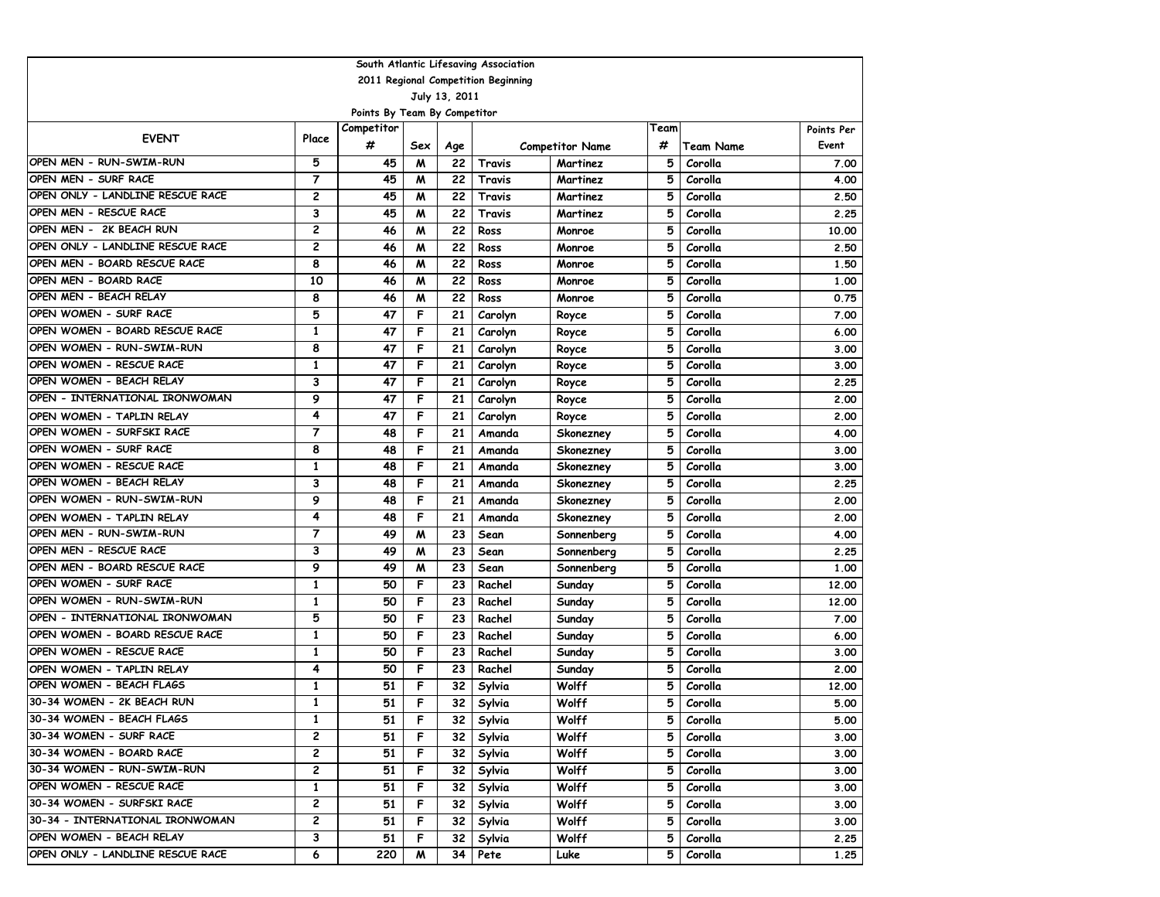| South Atlantic Lifesaving Association |                |                              |     |               |         |                        |      |           |            |  |  |  |
|---------------------------------------|----------------|------------------------------|-----|---------------|---------|------------------------|------|-----------|------------|--|--|--|
| 2011 Regional Competition Beginning   |                |                              |     |               |         |                        |      |           |            |  |  |  |
|                                       |                |                              |     | July 13, 2011 |         |                        |      |           |            |  |  |  |
|                                       |                | Points By Team By Competitor |     |               |         |                        |      |           |            |  |  |  |
| <b>EVENT</b>                          | Place          | Competitor                   |     |               |         |                        | Team |           | Points Per |  |  |  |
|                                       |                | #                            | Sex | Age           |         | <b>Competitor Name</b> | #    | Team Name | Event      |  |  |  |
| OPEN MEN - RUN-SWIM-RUN               | 5              | 45                           | M   | 22            | Travis  | Martinez               | 5    | Corolla   | 7.00       |  |  |  |
| OPEN MEN - SURF RACE                  | $\overline{7}$ | 45                           | M   | 22            | Travis  | Martinez               | 5    | Corolla   | 4.00       |  |  |  |
| OPEN ONLY - LANDLINE RESCUE RACE      | 2              | 45                           | м   | 22            | Travis  | Martinez               | 5    | Corolla   | 2.50       |  |  |  |
| OPEN MEN - RESCUE RACE                | 3              | 45                           | M   | 22            | Travis  | Martinez               | 5    | Corolla   | 2.25       |  |  |  |
| OPEN MEN - 2K BEACH RUN               | $\overline{c}$ | 46                           | M   | 22            | Ross    | Monroe                 | 5    | Corolla   | 10.00      |  |  |  |
| OPEN ONLY - LANDLINE RESCUE RACE      | 2              | 46                           | M   | 22            | Ross    | Monroe                 | 5    | Corolla   | 2.50       |  |  |  |
| OPEN MEN - BOARD RESCUE RACE          | 8              | 46                           | м   | 22            | Ross    | Monroe                 | 5    | Corolla   | 1.50       |  |  |  |
| OPEN MEN - BOARD RACE                 | 10             | 46                           | м   | 22            | Ross    | Monroe                 | 5    | Corolla   | 1,00       |  |  |  |
| OPEN MEN - BEACH RELAY                | 8              | 46                           | M   | 22            | Ross    | Monroe                 | 5    | Corolla   | 0.75       |  |  |  |
| OPEN WOMEN - SURF RACE                | 5              | 47                           | F   | 21            | Carolyn | Royce                  | 5    | Corolla   | 7.00       |  |  |  |
| OPEN WOMEN - BOARD RESCUE RACE        | $\mathbf{1}$   | 47                           | F   | 21            | Carolyn | Royce                  | 5    | Corolla   | 6.00       |  |  |  |
| OPEN WOMEN - RUN-SWIM-RUN             | 8              | 47                           | F   | 21            | Carolyn | Royce                  | 5    | Corolla   | 3.00       |  |  |  |
| OPEN WOMEN - RESCUE RACE              | 1              | 47                           | F   | 21            | Carolyn | Royce                  | 5    | Corolla   | 3.00       |  |  |  |
| OPEN WOMEN - BEACH RELAY              | 3              | 47                           | F   | 21            | Carolyn | Royce                  | 5    | Corolla   | 2.25       |  |  |  |
| OPEN - INTERNATIONAL IRONWOMAN        | 9              | 47                           | F   | 21            | Carolyn | Royce                  | 5    | Corolla   | 2.00       |  |  |  |
| OPEN WOMEN - TAPLIN RELAY             | 4              | 47                           | F   | 21            | Carolyn | Royce                  | 5    | Corolla   | 2.00       |  |  |  |
| OPEN WOMEN - SURFSKI RACE             | $\overline{7}$ | 48                           | F   | 21            | Amanda  | Skonezney              | 5    | Corolla   | 4.00       |  |  |  |
| OPEN WOMEN - SURF RACE                | 8              | 48                           | F   | 21            | Amanda  | Skonezney              | 5    | Corolla   | 3.00       |  |  |  |
| OPEN WOMEN - RESCUE RACE              | $\mathbf{1}$   | 48                           | F   | 21            | Amanda  | Skonezney              | 5    | Corolla   | 3.00       |  |  |  |
| OPEN WOMEN - BEACH RELAY              | 3              | 48                           | F   | 21            | Amanda  | Skonezney              | 5    | Corolla   | 2.25       |  |  |  |
| OPEN WOMEN - RUN-SWIM-RUN             | 9              | 48                           | F   | 21            | Amanda  | Skonezney              | 5    | Corolla   | 2.00       |  |  |  |
| OPEN WOMEN - TAPLIN RELAY             | 4              | 48                           | F   | 21            | Amanda  | Skonezney              | 5    | Corolla   | 2.00       |  |  |  |
| OPEN MEN - RUN-SWIM-RUN               | $\overline{7}$ | 49                           | M   | 23            | Sean    | Sonnenberg             | 5    | Corolla   | 4.00       |  |  |  |
| OPEN MEN - RESCUE RACE                | 3              | 49                           | M   | 23            | Sean    | Sonnenberg             | 5    | Corolla   | 2.25       |  |  |  |
| OPEN MEN - BOARD RESCUE RACE          | 9              | 49                           | M   | 23            | Sean    | Sonnenberg             | 5    | Corolla   | 1.00       |  |  |  |
| OPEN WOMEN - SURF RACE                | 1              | 50                           | F   | 23            | Rachel  | Sunday                 | 5    | Corolla   | 12.00      |  |  |  |
| OPEN WOMEN - RUN-SWIM-RUN             | 1              | 50                           | F   | 23            | Rachel  | Sunday                 | 5    | Corolla   | 12.00      |  |  |  |
| OPEN - INTERNATIONAL IRONWOMAN        | 5              | 50                           | F   | 23            | Rachel  | Sunday                 | 5    | Corolla   | 7.00       |  |  |  |
| OPEN WOMEN - BOARD RESCUE RACE        | $\mathbf{1}$   | 50                           | F   | 23            | Rachel  | Sunday                 | 5    | Corolla   | 6.00       |  |  |  |
| OPEN WOMEN - RESCUE RACE              | $\mathbf{1}$   | 50                           | F   | 23            | Rachel  | Sunday                 | 5    | Corolla   | 3.00       |  |  |  |
| OPEN WOMEN - TAPLIN RELAY             | 4              | 50                           | F   | 23            | Rachel  | Sunday                 | 5    | Corolla   | 2.00       |  |  |  |
| OPEN WOMEN - BEACH FLAGS              | 1              | 51                           | F   | 32            | Sylvia  | Wolff                  | 5    | Corolla   | 12.00      |  |  |  |
| 30-34 WOMEN - 2K BEACH RUN            | $\mathbf{1}$   | 51                           | F   | 32            | Sylvia  | Wolff                  | 5    | Corolla   | 5.00       |  |  |  |
| 30-34 WOMEN - BEACH FLAGS             | 1              | 51                           | F   | 32 I          | Sylvia  | Wolff                  | 5    | Corolla   | 5.00       |  |  |  |
| 30-34 WOMEN - SURF RACE               | $\mathbf{z}$   | 51                           | F   | 32            | Sylvia  | Wolff                  | 5    | Corolla   | 3.00       |  |  |  |
| 30-34 WOMEN - BOARD RACE              | 2              | 51                           | F   | 32            | Sylvia  | Wolff                  | 5    | Corolla   | 3.00       |  |  |  |
| 30-34 WOMEN - RUN-SWIM-RUN            | 2              | 51                           | F   | 32            | Sylvia  | Wolff                  | 5    | Corolla   | 3.00       |  |  |  |
| OPEN WOMEN - RESCUE RACE              | $\mathbf{1}$   | 51                           | F   | 32            | Sylvia  | Wolff                  | 5    | Corolla   | 3.00       |  |  |  |
| 30-34 WOMEN - SURFSKI RACE            | 2              | 51                           | F   | 32            | Sylvia  | Wolff                  | 5    | Corolla   | 3.00       |  |  |  |
| 30-34 - INTERNATIONAL IRONWOMAN       | 2              | 51                           | F   | 32            | Sylvia  | Wolff                  | 5    | Corolla   | 3.00       |  |  |  |
| OPEN WOMEN - BEACH RELAY              | 3              | 51                           | F   | 32            | Sylvia  | Wolff                  | 5    | Corolla   | 2.25       |  |  |  |
| OPEN ONLY - LANDLINE RESCUE RACE      | 6              | 220                          | M   | 34            | Pete    | Luke                   | 5    | Corolla   | 1.25       |  |  |  |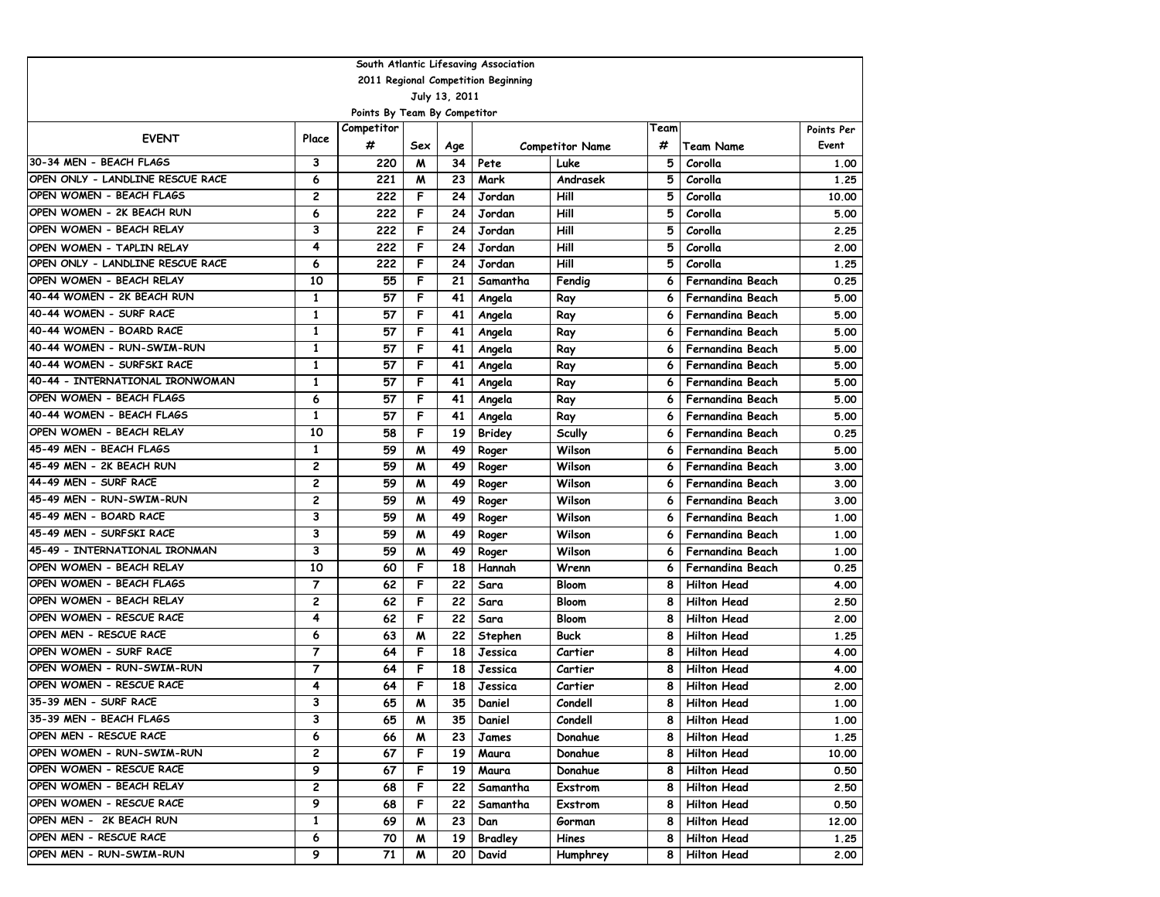| South Atlantic Lifesaving Association |                |                              |     |               |                                     |                        |      |                         |            |  |  |  |
|---------------------------------------|----------------|------------------------------|-----|---------------|-------------------------------------|------------------------|------|-------------------------|------------|--|--|--|
|                                       |                |                              |     |               | 2011 Regional Competition Beginning |                        |      |                         |            |  |  |  |
|                                       |                |                              |     | July 13, 2011 |                                     |                        |      |                         |            |  |  |  |
|                                       |                | Points By Team By Competitor |     |               |                                     |                        |      |                         |            |  |  |  |
| <b>EVENT</b>                          | Place          | Competitor                   |     |               |                                     |                        | Team |                         | Points Per |  |  |  |
|                                       |                | #                            | Sex | Age           |                                     | <b>Competitor Name</b> | #    | <b>Team Name</b>        | Event      |  |  |  |
| 30-34 MEN - BEACH FLAGS               | 3              | 220                          | W   | 34            | Pete                                | Luke                   | 5    | Corolla                 | 1.00       |  |  |  |
| OPEN ONLY - LANDLINE RESCUE RACE      | 6              | 221                          | M   | 23            | Mark                                | Andrasek               | 5    | Corolla                 | 1.25       |  |  |  |
| OPEN WOMEN - BEACH FLAGS              | 2              | 222                          | F   | 24            | Jordan                              | Hill                   | 5    | Corolla                 | 10.00      |  |  |  |
| OPEN WOMEN - 2K BEACH RUN             | 6              | 222                          | F   | 24            | Jordan                              | Hill                   | 5    | Corolla                 | 5.00       |  |  |  |
| OPEN WOMEN - BEACH RELAY              | 3              | 222                          | F   | 24            | Jordan                              | Hill                   | 5    | Corolla                 | 2.25       |  |  |  |
| OPEN WOMEN - TAPLIN RELAY             | 4              | 222                          | F   | 24            | Jordan                              | Hill                   | 5    | Corolla                 | 2.00       |  |  |  |
| OPEN ONLY - LANDLINE RESCUE RACE      | 6              | 222                          | F   | 24            | Jordan                              | Hill                   | 5    | Corolla                 | 1.25       |  |  |  |
| OPEN WOMEN - BEACH RELAY              | 10             | 55                           | F   | 21            | Samantha                            | Fendig                 | 6    | <b>Fernandina Beach</b> | 0.25       |  |  |  |
| 40-44 WOMEN - 2K BEACH RUN            | $\mathbf{1}$   | 57                           | F   | 41            | Angela                              | Ray                    | 6    | <b>Fernandina Beach</b> | 5.00       |  |  |  |
| 40-44 WOMEN - SURF RACE               | $\mathbf{1}$   | 57                           | F   | 41            | Angela                              | Ray                    | 6    | Fernandina Beach        | 5.00       |  |  |  |
| 40-44 WOMEN - BOARD RACE              | 1              | 57                           | F   | 41            | Angela                              | Ray                    | 6    | Fernandina Beach        | 5.00       |  |  |  |
| 40-44 WOMEN - RUN-SWIM-RUN            | 1              | 57                           | F   | 41            | Angela                              | Ray                    | 6    | Fernandina Beach        | 5.00       |  |  |  |
| 40-44 WOMEN - SURFSKI RACE            | 1              | 57                           | F   | 41            | Angela                              | Ray                    | 6    | <b>Fernandina Beach</b> | 5.00       |  |  |  |
| 40-44 - INTERNATIONAL IRONWOMAN       | 1              | 57                           | F   | 41            | Angela                              | Ray                    | 6    | Fernandina Beach        | 5.00       |  |  |  |
| OPEN WOMEN - BEACH FLAGS              | 6              | 57                           | F   | 41            | Angela                              | Ray                    | 6    | <b>Fernandina Beach</b> | 5.00       |  |  |  |
| 40-44 WOMEN - BEACH FLAGS             | $\mathbf{1}$   | 57                           | F   | 41            | Angela                              | Ray                    | 6    | Fernandina Beach        | 5.00       |  |  |  |
| OPEN WOMEN - BEACH RELAY              | 10             | 58                           | F   | 19            | <b>Bridey</b>                       | <b>Scully</b>          | 6    | <b>Fernandina Beach</b> | 0.25       |  |  |  |
| 45-49 MEN - BEACH FLAGS               | 1              | 59                           | M   | 49            | Roger                               | Wilson                 | 6    | Fernandina Beach        | 5.00       |  |  |  |
| 45-49 MEN - 2K BEACH RUN              | 2              | 59                           | M   | 49            | Roger                               | Wilson                 | 6    | <b>Fernandina Beach</b> | 3.00       |  |  |  |
| 44-49 MEN - SURF RACE                 | $\overline{c}$ | 59                           | M   | 49            | Roger                               | Wilson                 | 6    | <b>Fernandina Beach</b> | 3.00       |  |  |  |
| 45-49 MEN - RUN-SWIM-RUN              | 2              | 59                           | M   | 49            | Roger                               | Wilson                 | 6    | <b>Fernandina Beach</b> | 3.00       |  |  |  |
| 45-49 MEN - BOARD RACE                | 3              | 59                           | M   | 49            | Roger                               | Wilson                 | 6    | Fernandina Beach        | 1.00       |  |  |  |
| 45-49 MEN - SURFSKI RACE              | 3              | 59                           | W   | 49            | Roger                               | Wilson                 | 6    | Fernandina Beach        | 1.00       |  |  |  |
| 45-49 - INTERNATIONAL IRONMAN         | 3              | 59                           | W   | 49            | Roger                               | Wilson                 | 6    | Fernandina Beach        | 1.00       |  |  |  |
| OPEN WOMEN - BEACH RELAY              | 10             | 60                           | F   | 18            | Hannah                              | Wrenn                  | 6    | Fernandina Beach        | 0.25       |  |  |  |
| OPEN WOMEN - BEACH FLAGS              | 7              | 62                           | F   | 22            | Sara                                | Bloom                  | 8    | <b>Hilton Head</b>      | 4.00       |  |  |  |
| OPEN WOMEN - BEACH RELAY              | $\overline{c}$ | 62                           | F   | 22            | Sara                                | Bloom                  | 8    | <b>Hilton Head</b>      | 2.50       |  |  |  |
| OPEN WOMEN - RESCUE RACE              | 4              | 62                           | F   | 22            | Sara                                | Bloom                  | 8    | <b>Hilton Head</b>      | 2.00       |  |  |  |
| OPEN MEN - RESCUE RACE                | 6              | 63                           | M   | 22            | Stephen                             | Buck                   | 8    | <b>Hilton Head</b>      | 1.25       |  |  |  |
| OPEN WOMEN - SURF RACE                | $\overline{7}$ | 64                           | F   | 18            | Jessica                             | Cartier                | 8    | <b>Hilton Head</b>      | 4.00       |  |  |  |
| OPEN WOMEN - RUN-SWIM-RUN             | $\overline{7}$ | 64                           | F   | 18            | Jessica                             | Cartier                | 8    | <b>Hilton Head</b>      | 4.00       |  |  |  |
| OPEN WOMEN - RESCUE RACE              | 4              | 64                           | F   | 18            | Jessica                             | Cartier                | 8    | <b>Hilton Head</b>      | 2.00       |  |  |  |
| 35-39 MEN - SURF RACE                 | 3              | 65                           | M   | 35            | Daniel                              | Condell                | 8    | <b>Hilton Head</b>      | 1.00       |  |  |  |
| 35-39 MEN - BEACH FLAGS               | 3              | 65                           | M   | 35            | Daniel                              | Condell                | 8    | <b>Hilton Head</b>      | 1.00       |  |  |  |
| OPEN MEN - RESCUE RACE                | 6              | 66                           | M   | 23            | James                               | Donahue                | 8    | <b>Hilton Head</b>      | 1.25       |  |  |  |
| OPEN WOMEN - RUN-SWIM-RUN             | 2              | 67                           | F   | 19            | Maura                               | Donahue                | 8    | <b>Hilton Head</b>      | 10.00      |  |  |  |
| OPEN WOMEN - RESCUE RACE              | 9              | 67                           | F   | 19            | Maura                               | Donahue                | 8    | <b>Hilton Head</b>      | 0.50       |  |  |  |
| OPEN WOMEN - BEACH RELAY              | 2              | 68                           | F   | 22            | Samantha                            | Exstrom                | 8    | <b>Hilton Head</b>      | 2.50       |  |  |  |
| OPEN WOMEN - RESCUE RACE              | 9              | 68                           | F   | 22            | Samantha                            | Exstrom                | 8    | <b>Hilton Head</b>      | 0.50       |  |  |  |
| OPEN MEN - 2K BEACH RUN               | $\mathbf{1}$   | 69                           | M   | 23            | Dan                                 | Gorman                 | 8    | <b>Hilton Head</b>      | 12.00      |  |  |  |
| OPEN MEN - RESCUE RACE                | 6              | 70                           | M   | 19            | <b>Bradley</b>                      | Hines                  | 8    | <b>Hilton Head</b>      | 1.25       |  |  |  |
| OPEN MEN - RUN-SWIM-RUN               | 9              | 71                           | M   | 20            | David                               | Humphrey               | 8    | <b>Hilton Head</b>      | 2.00       |  |  |  |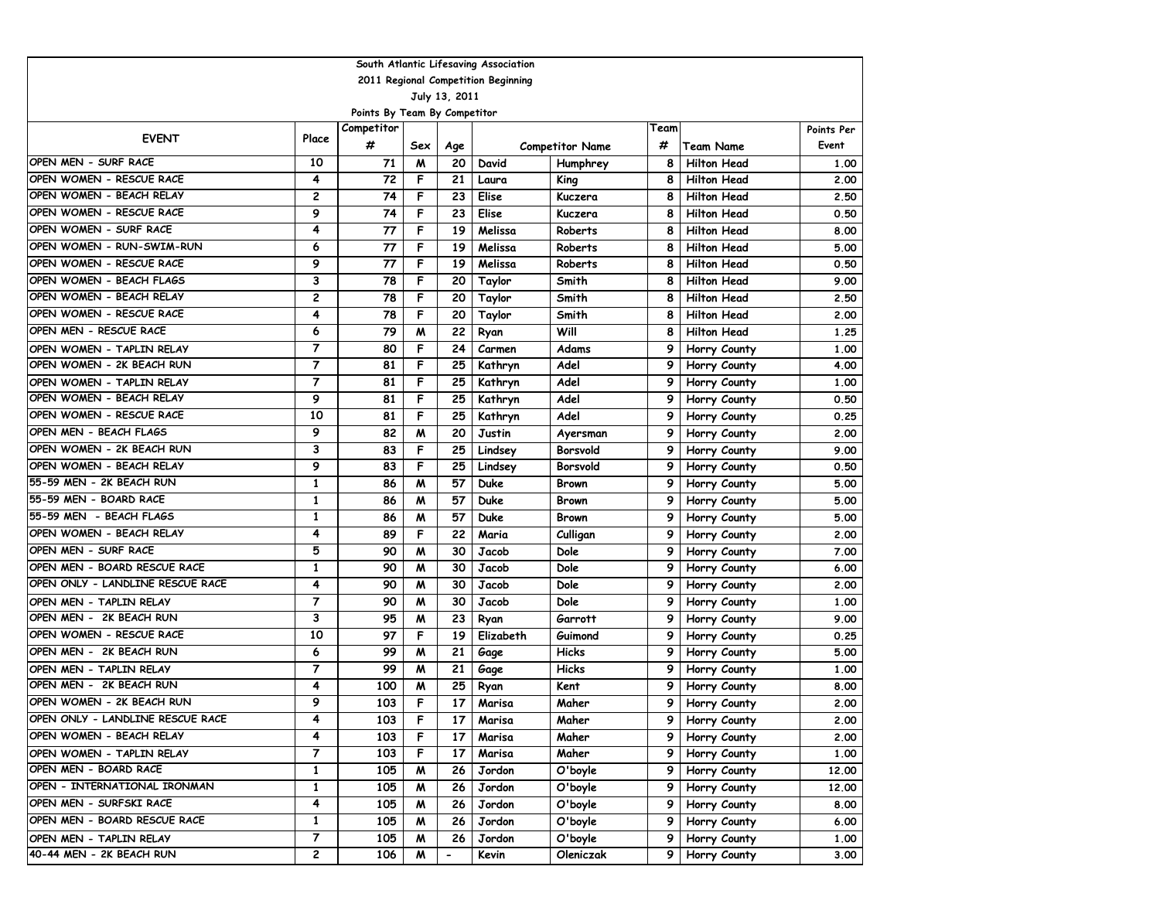| South Atlantic Lifesaving Association |                |                              |     |                          |                                     |                        |      |                    |            |  |  |  |
|---------------------------------------|----------------|------------------------------|-----|--------------------------|-------------------------------------|------------------------|------|--------------------|------------|--|--|--|
|                                       |                |                              |     |                          | 2011 Regional Competition Beginning |                        |      |                    |            |  |  |  |
|                                       |                |                              |     | July 13, 2011            |                                     |                        |      |                    |            |  |  |  |
|                                       |                | Points By Team By Competitor |     |                          |                                     |                        |      |                    |            |  |  |  |
| <b>EVENT</b>                          | Place          | Competitor                   |     |                          |                                     |                        | Team |                    | Points Per |  |  |  |
|                                       |                | #                            | Sex | Age                      |                                     | <b>Competitor Name</b> | #    | Team Name          | Event      |  |  |  |
| OPEN MEN - SURF RACE                  | 10             | 71                           | M   | 20                       | David                               | Humphrey               | 8    | <b>Hilton Head</b> | 1.00       |  |  |  |
| OPEN WOMEN - RESCUE RACE              | 4              | 72                           | F   | 21                       | Laura                               | King                   | 8    | <b>Hilton Head</b> | 2.00       |  |  |  |
| OPEN WOMEN - BEACH RELAY              | 2              | 74                           | F   | 23                       | Elise                               | Kuczera                | 8    | <b>Hilton Head</b> | 2.50       |  |  |  |
| OPEN WOMEN - RESCUE RACE              | 9              | 74                           | F   | 23                       | Elise                               | Kuczera                | 8    | <b>Hilton Head</b> | 0.50       |  |  |  |
| OPEN WOMEN - SURF RACE                | 4              | 77                           | F   | 19                       | Melissa                             | Roberts                | 8    | <b>Hilton Head</b> | 8.00       |  |  |  |
| OPEN WOMEN - RUN-SWIM-RUN             | 6              | 77                           | F   | 19                       | Melissa                             | Roberts                | 8    | <b>Hilton Head</b> | 5.00       |  |  |  |
| OPEN WOMEN - RESCUE RACE              | 9              | 77                           | F   | 19                       | Melissa                             | Roberts                | 8    | <b>Hilton Head</b> | 0.50       |  |  |  |
| OPEN WOMEN - BEACH FLAGS              | 3              | 78                           | F   | 20                       | Taylor                              | Smith                  | 8    | <b>Hilton Head</b> | 9.00       |  |  |  |
| OPEN WOMEN - BEACH RELAY              | 2              | 78                           | F   | 20                       | Taylor                              | Smith                  | 8    | <b>Hilton Head</b> | 2.50       |  |  |  |
| OPEN WOMEN - RESCUE RACE              | 4              | 78                           | F   | 20                       | Taylor                              | Smith                  | 8    | <b>Hilton Head</b> | 2.00       |  |  |  |
| OPEN MEN - RESCUE RACE                | 6              | 79                           | M   | 22                       | Ryan                                | Will                   | 8    | <b>Hilton Head</b> | 1.25       |  |  |  |
| OPEN WOMEN - TAPLIN RELAY             | 7              | 80                           | F   | 24                       | Carmen                              | Adams                  | 9    | Horry County       | 1.00       |  |  |  |
| OPEN WOMEN - 2K BEACH RUN             | 7              | 81                           | F   | 25                       | Kathryn                             | Adel                   | 9    | Horry County       | 4.00       |  |  |  |
| OPEN WOMEN - TAPLIN RELAY             | 7              | 81                           | F   | 25                       | Kathryn                             | Adel                   | 9    | Horry County       | 1.00       |  |  |  |
| OPEN WOMEN - BEACH RELAY              | 9              | 81                           | F   | 25                       | Kathryn                             | Adel                   | 9    | Horry County       | 0.50       |  |  |  |
| OPEN WOMEN - RESCUE RACE              | 10             | 81                           | F   | 25                       | Kathryn                             | Adel                   | 9    | Horry County       | 0.25       |  |  |  |
| OPEN MEN - BEACH FLAGS                | 9              | 82                           | M   | 20                       | Justin                              | Ayersman               | 9    | Horry County       | 2.00       |  |  |  |
| OPEN WOMEN - 2K BEACH RUN             | 3              | 83                           | F   | 25                       | Lindsey                             | Borsvold               | 9    | Horry County       | 9.00       |  |  |  |
| OPEN WOMEN - BEACH RELAY              | 9              | 83                           | F   | 25                       | Lindsey                             | Borsvold               | 9    | Horry County       | 0.50       |  |  |  |
| 55-59 MEN - 2K BEACH RUN              | 1              | 86                           | M   | 57                       | Duke                                | <b>Brown</b>           | 9    | Horry County       | 5.00       |  |  |  |
| 55-59 MEN - BOARD RACE                | 1              | 86                           | M   | 57                       | Duke                                | <b>Brown</b>           | 9    | Horry County       | 5.00       |  |  |  |
| 55-59 MEN - BEACH FLAGS               | $\mathbf{1}$   | 86                           | M   | 57                       | <b>Duke</b>                         | Brown                  | 9    | Horry County       | 5.00       |  |  |  |
| OPEN WOMEN - BEACH RELAY              | 4              | 89                           | F   | 22                       | Maria                               | Culligan               | 9    | Horry County       | 2.00       |  |  |  |
| OPEN MEN - SURF RACE                  | 5              | 90                           | M   | 30                       | Jacob                               | Dole                   | 9    | Horry County       | 7.00       |  |  |  |
| OPEN MEN - BOARD RESCUE RACE          | 1              | 90                           | м   | 30                       | Jacob                               | Dole                   | 9    | Horry County       | 6.00       |  |  |  |
| OPEN ONLY - LANDLINE RESCUE RACE      | 4              | 90                           | M   | 30                       | Jacob                               | Dole                   | 9    | Horry County       | 2.00       |  |  |  |
| OPEN MEN - TAPLIN RELAY               | $\overline{7}$ | 90                           | M   | 30                       | Jacob                               | Dole                   | 9    | Horry County       | 1.00       |  |  |  |
| OPEN MEN - 2K BEACH RUN               | 3              | 95                           | м   | 23                       | Ryan                                | Garrott                | 9    | Horry County       | 9.00       |  |  |  |
| OPEN WOMEN - RESCUE RACE              | 10             | 97                           | F   | 19                       | Elizabeth                           | Guimond                | 9    | Horry County       | 0.25       |  |  |  |
| OPEN MEN - 2K BEACH RUN               | 6              | 99                           | W   | 21                       | Gage                                | <b>Hicks</b>           | 9    | Horry County       | 5.00       |  |  |  |
| OPEN MEN - TAPLIN RELAY               | $\overline{7}$ | 99                           | м   | 21                       | Gage                                | <b>Hicks</b>           | 9    | Horry County       | 1.00       |  |  |  |
| OPEN MEN - 2K BEACH RUN               | 4              | 100                          | M   | 25                       | Ryan                                | Kent                   | 9    | Horry County       | 8.00       |  |  |  |
| OPEN WOMEN - 2K BEACH RUN             | 9              | 103                          | F   | 17                       | Marisa                              | Maher                  | 9    | Horry County       | 2.00       |  |  |  |
| OPEN ONLY - LANDLINE RESCUE RACE      | 4              | 103                          | F   | 17                       | Marisa                              | Maher                  | 91   | Horry County       | 2.00       |  |  |  |
| OPEN WOMEN - BEACH RELAY              | 4              | 103                          | F   | 17                       | Marisa                              | Maher                  | 9.   | Horry County       | 2.00       |  |  |  |
| OPEN WOMEN - TAPLIN RELAY             | 7              | 103                          | F   | 17                       | Marisa                              | Maher                  | 9    | Horry County       | 1.00       |  |  |  |
| OPEN MEN - BOARD RACE                 | 1              | 105                          | M   | 26                       | Jordon                              | O'boyle                | 9    | Horry County       | 12.00      |  |  |  |
| OPEN - INTERNATIONAL IRONMAN          | 1              | 105                          | M   | 26                       | Jordon                              | O'boyle                | 9    | Horry County       | 12.00      |  |  |  |
| OPEN MEN - SURFSKI RACE               | 4              | 105                          | M   | 26                       | Jordon                              | O'boyle                | 9    | Horry County       | 8.00       |  |  |  |
| OPEN MEN - BOARD RESCUE RACE          | 1              | 105                          | M   | 26                       | Jordon                              | O'boyle                | 9    | Horry County       | 6.00       |  |  |  |
| OPEN MEN - TAPLIN RELAY               | 7              | 105                          | M   | 26                       | Jordon                              | O'boyle                | 9    | Horry County       | 1.00       |  |  |  |
| 40-44 MEN - 2K BEACH RUN              | 2              | 106                          | M   | $\overline{\phantom{0}}$ | Kevin                               | Oleniczak              | 9    | Horry County       | 3.00       |  |  |  |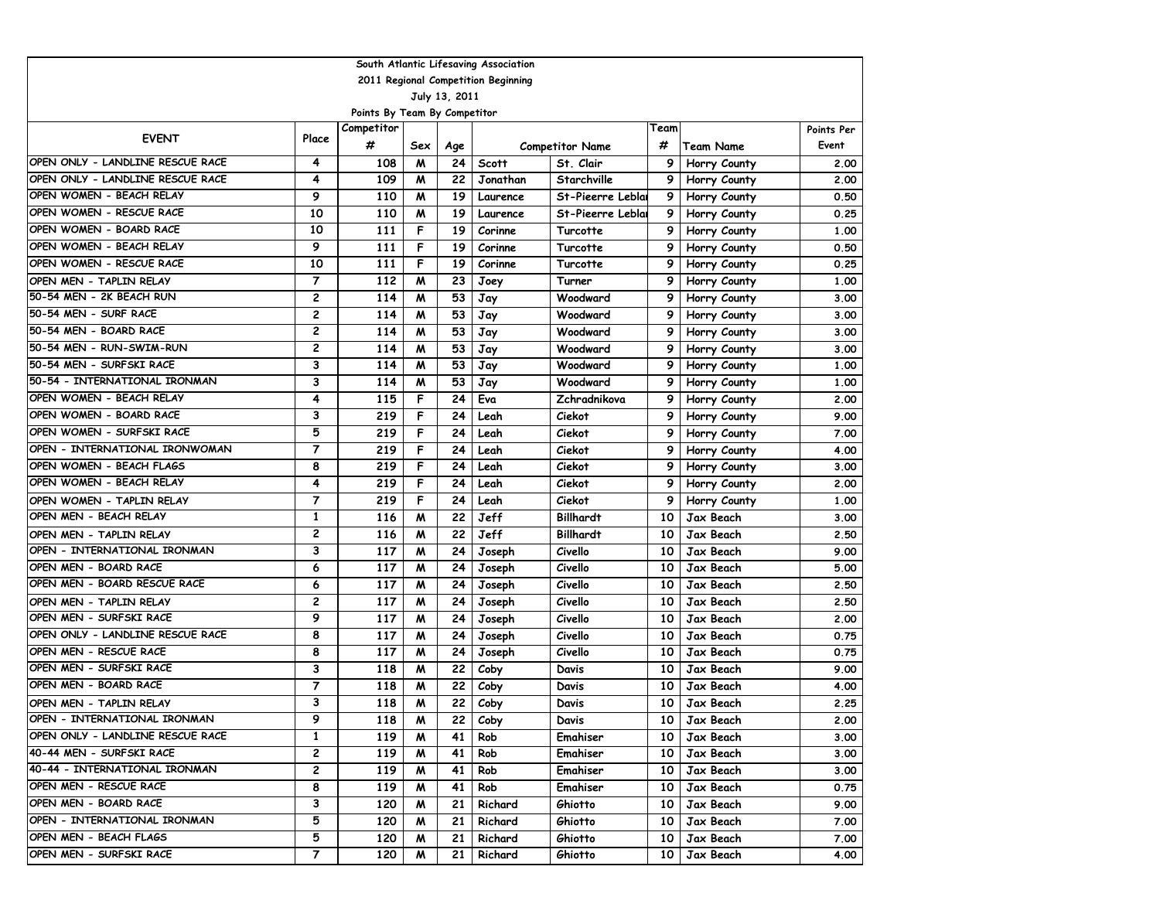| South Atlantic Lifesaving Association |                                     |                              |     |               |              |                        |                 |                        |            |  |  |  |
|---------------------------------------|-------------------------------------|------------------------------|-----|---------------|--------------|------------------------|-----------------|------------------------|------------|--|--|--|
|                                       | 2011 Regional Competition Beginning |                              |     |               |              |                        |                 |                        |            |  |  |  |
|                                       |                                     |                              |     | July 13, 2011 |              |                        |                 |                        |            |  |  |  |
|                                       |                                     | Points By Team By Competitor |     |               |              |                        |                 |                        |            |  |  |  |
| <b>EVENT</b>                          | Place                               | Competitor                   |     |               |              |                        | Team            |                        | Points Per |  |  |  |
|                                       |                                     | #                            | Sex | Age           |              | <b>Competitor Name</b> | #               | <b>Team Name</b>       | Event      |  |  |  |
| OPEN ONLY - LANDLINE RESCUE RACE      | 4                                   | 108                          | M   | 24            | <b>Scott</b> | St. Clair              | 9               | Horry County           | 2.00       |  |  |  |
| OPEN ONLY - LANDLINE RESCUE RACE      | 4                                   | 109                          | M   | 22            | Jonathan     | Starchville            | 9               | Horry County           | 2.00       |  |  |  |
| OPEN WOMEN - BEACH RELAY              | 9                                   | 110                          | м   | 19            | Laurence     | St-Pieerre Leblai      | 9               | Horry County           | 0.50       |  |  |  |
| OPEN WOMEN - RESCUE RACE              | 10                                  | 110                          | M   | 19            | Laurence     | St-Pieerre Leblai      | 9               | Horry County           | 0.25       |  |  |  |
| OPEN WOMEN - BOARD RACE               | 10                                  | 111                          | F   | 19            | Corinne      | Turcotte               | 9               | Horry County           | 1.00       |  |  |  |
| OPEN WOMEN - BEACH RELAY              | 9                                   | 111                          | F   | 19            | Corinne      | Turcotte               | 9               | Horry County           | 0.50       |  |  |  |
| OPEN WOMEN - RESCUE RACE              | 10                                  | 111                          | F   | 19            | Corinne      | Turcotte               | 9               | Horry County           | 0.25       |  |  |  |
| OPEN MEN - TAPLIN RELAY               | 7                                   | 112                          | M   | 23            | Joey         | Turner                 | 9               | Horry County           | 1.00       |  |  |  |
| 50-54 MEN - 2K BEACH RUN              | 2                                   | 114                          | M   | 53            | Jay          | Woodward               | 9               | Horry County           | 3.00       |  |  |  |
| 50-54 MEN - SURF RACE                 | 2                                   | 114                          | м   | 53            | Jay          | Woodward               | 9               | Horry County           | 3.00       |  |  |  |
| 50-54 MEN - BOARD RACE                | 2                                   | 114                          | M   | 53            | Jay          | Woodward               | 9               | Horry County           | 3.00       |  |  |  |
| 50-54 MEN - RUN-SWIM-RUN              | 2                                   | 114                          | м   | 53            | Jay          | Woodward               | 9               | Horry County           | 3.00       |  |  |  |
| 50-54 MEN - SURFSKI RACE              | 3                                   | 114                          | м   | 53            | Jay          | Woodward               | 9               | Horry County           | 1.00       |  |  |  |
| 50-54 - INTERNATIONAL IRONMAN         | 3                                   | 114                          | M   | 53            | Jay          | Woodward               | 9               | Horry County           | 1.00       |  |  |  |
| OPEN WOMEN - BEACH RELAY              | 4                                   | 115                          | F   | 24            | Eva          | Zchradnikova           | 9               | Horry County           | 2.00       |  |  |  |
| OPEN WOMEN - BOARD RACE               | 3                                   | 219                          | F   | 24            | Leah         | Ciekot                 | 9               | Horry County           | 9.00       |  |  |  |
| OPEN WOMEN - SURFSKI RACE             | 5                                   | 219                          | F   | 24            | Leah         | Ciekot                 | 9               | Horry County           | 7.00       |  |  |  |
| OPEN - INTERNATIONAL IRONWOMAN        | $\overline{7}$                      | 219                          | F   | 24            | Leah         | Ciekot                 | 9               | Horry County           | 4.00       |  |  |  |
| OPEN WOMEN - BEACH FLAGS              | 8                                   | 219                          | F   | 24            | Leah         | Ciekot                 | 9               | Horry County           | 3.00       |  |  |  |
| OPEN WOMEN - BEACH RELAY              | 4                                   | 219                          | F   | 24            | Leah         | Ciekot                 | 9               | Horry County           | 2.00       |  |  |  |
| OPEN WOMEN - TAPLIN RELAY             | 7                                   | 219                          | F   | 24            | Leah         | Ciekot                 | 9               | Horry County           | 1.00       |  |  |  |
| OPEN MEN - BEACH RELAY                | 1                                   | 116                          | M   | 22            | Jeff         | <b>Billhardt</b>       | 10              | Jax Beach              | 3.00       |  |  |  |
| OPEN MEN - TAPLIN RELAY               | 2                                   | 116                          | M   | 22            | Jeff         | <b>Billhardt</b>       | 10              | Jax Beach              | 2.50       |  |  |  |
| OPEN - INTERNATIONAL IRONMAN          | 3                                   | 117                          | M   | 24            | Joseph       | Civello                | 10              | Jax Beach              | 9.00       |  |  |  |
| OPEN MEN - BOARD RACE                 | 6                                   | 117                          | м   | 24            | Joseph       | Civello                | 10              | Jax Beach              | 5.00       |  |  |  |
| OPEN MEN - BOARD RESCUE RACE          | 6                                   | 117                          | M   | 24            | Joseph       | Civello                | 10              | Jax Beach              | 2.50       |  |  |  |
| OPEN MEN - TAPLIN RELAY               | 2                                   | 117                          | M   | 24            | Joseph       | Civello                | 10              | Jax Beach              | 2.50       |  |  |  |
| OPEN MEN - SURFSKI RACE               | 9                                   | 117                          | M   | 24            |              | Civello                | 10              | Jax Beach              | 2.00       |  |  |  |
| OPEN ONLY - LANDLINE RESCUE RACE      | 8                                   | 117                          | M   | 24            | Joseph       | Civello                |                 |                        |            |  |  |  |
| OPEN MEN - RESCUE RACE                | 8                                   | 117                          | M   | 24            | Joseph       |                        | 10<br>10        | Jax Beach<br>Jax Beach | 0.75       |  |  |  |
| OPEN MEN - SURFSKI RACE               | 3                                   |                              |     |               | Joseph       | Civello                |                 |                        | 0.75       |  |  |  |
| OPEN MEN - BOARD RACE                 | $\overline{7}$                      | 118                          | м   | 22            | Coby         | Davis                  | 10              | Jax Beach              | 9.00       |  |  |  |
|                                       |                                     | 118                          | м   | 22            | Coby         | Davis                  | 10              | Jax Beach              | 4.00       |  |  |  |
| OPEN MEN - TAPLIN RELAY               | 3                                   | 118                          | м   | 22            | Coby         | Davis                  | 10              | Jax Beach              | 2.25       |  |  |  |
| OPEN – INTERNATIONAL IRONMAN          | 9                                   | 118                          | M   | 22            | Coby         | Davis                  | 10 I            | Jax Beach              | 2.00       |  |  |  |
| OPEN ONLY - LANDLINE RESCUE RACE      | $\mathbf{1}$                        | 119                          | M   | 41            | Rob          | Emahiser               | 10              | Jax Beach              | 3.00       |  |  |  |
| 40-44 MEN - SURFSKI RACE              | 2                                   | 119                          | M   | 41            | Rob          | Emahiser               | 10 <sup>1</sup> | Jax Beach              | 3.00       |  |  |  |
| 40-44 - INTERNATIONAL IRONMAN         | 2                                   | 119                          | M   | 41            | Rob          | Emahiser               | 10 <sup>1</sup> | Jax Beach              | 3.00       |  |  |  |
| OPEN MEN - RESCUE RACE                | 8                                   | 119                          | M   | 41            | Rob          | Emahiser               | 10              | Jax Beach              | 0.75       |  |  |  |
| OPEN MEN - BOARD RACE                 | 3                                   | 120                          | M   | 21            | Richard      | Ghiotto                | 10              | Jax Beach              | 9.00       |  |  |  |
| OPEN - INTERNATIONAL IRONMAN          | 5                                   | 120                          | M   | 21            | Richard      | Ghiotto                | 10              | Jax Beach              | 7.00       |  |  |  |
| OPEN MEN - BEACH FLAGS                | 5                                   | 120                          | M   | 21            | Richard      | Ghiotto                | 10              | Jax Beach              | 7.00       |  |  |  |
| OPEN MEN - SURFSKI RACE               | 7                                   | 120                          | M   | 21            | Richard      | Ghiotto                | 10              | Jax Beach              | 4.00       |  |  |  |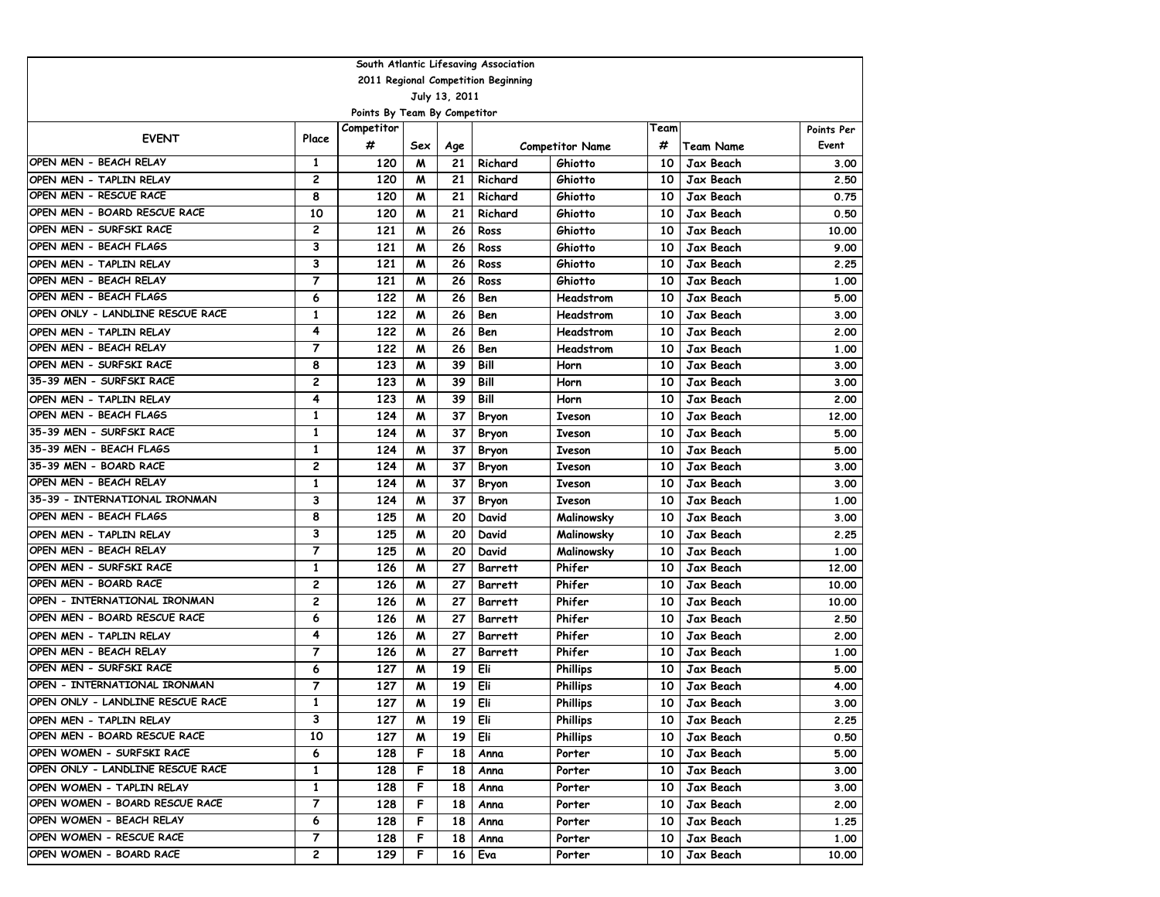| South Atlantic Lifesaving Association |                                     |                              |     |               |                |                        |                 |                  |            |  |  |  |  |
|---------------------------------------|-------------------------------------|------------------------------|-----|---------------|----------------|------------------------|-----------------|------------------|------------|--|--|--|--|
|                                       | 2011 Regional Competition Beginning |                              |     |               |                |                        |                 |                  |            |  |  |  |  |
|                                       |                                     |                              |     | July 13, 2011 |                |                        |                 |                  |            |  |  |  |  |
|                                       |                                     | Points By Team By Competitor |     |               |                |                        |                 |                  |            |  |  |  |  |
| <b>EVENT</b>                          | Place                               | Competitor                   |     |               |                |                        | Team            |                  | Points Per |  |  |  |  |
|                                       |                                     | #                            | Sex | Age           |                | <b>Competitor Name</b> | #               | <b>Team Name</b> | Event      |  |  |  |  |
| OPEN MEN - BEACH RELAY                | 1                                   | 120                          | м   | 21            | Richard        | Ghiotto                | 10              | Jax Beach        | 3.00       |  |  |  |  |
| OPEN MEN - TAPLIN RELAY               | 2                                   | 120                          | м   | 21            | Richard        | Ghiotto                | 10              | Jax Beach        | 2.50       |  |  |  |  |
| OPEN MEN - RESCUE RACE                | 8                                   | 120                          | м   | 21            | Richard        | Ghiotto                | 10              | Jax Beach        | 0.75       |  |  |  |  |
| OPEN MEN - BOARD RESCUE RACE          | 10                                  | 120                          | W   | 21            | Richard        | Ghiotto                | 10              | Jax Beach        | 0.50       |  |  |  |  |
| OPEN MEN - SURFSKI RACE               | 2                                   | 121                          | W   | 26            | Ross           | Ghiotto                | 10              | Jax Beach        | 10.00      |  |  |  |  |
| OPEN MEN - BEACH FLAGS                | 3                                   | 121                          | W   | 26            | Ross           | Ghiotto                | 10              | Jax Beach        | 9.00       |  |  |  |  |
| OPEN MEN - TAPLIN RELAY               | 3                                   | 121                          | м   | 26            | Ross           | Ghiotto                | 10              | Jax Beach        | 2.25       |  |  |  |  |
| OPEN MEN - BEACH RELAY                | $\overline{7}$                      | 121                          | W   | 26            | Ross           | Ghiotto                | 10              | Jax Beach        | 1.00       |  |  |  |  |
| OPEN MEN - BEACH FLAGS                | 6                                   | 122                          | M   | 26            | Ben            | Headstrom              | 10              | Jax Beach        | 5.00       |  |  |  |  |
| OPEN ONLY - LANDLINE RESCUE RACE      | $\mathbf{1}$                        | 122                          | M   | 26            | Ben            | Headstrom              | 10              | Jax Beach        | 3.00       |  |  |  |  |
| OPEN MEN - TAPLIN RELAY               | 4                                   | 122                          | W   | 26            | Ben            | Headstrom              | 10              | Jax Beach        | 2.00       |  |  |  |  |
| OPEN MEN - BEACH RELAY                | 7                                   | 122                          | м   | 26            | Ben            | Headstrom              | 10              | Jax Beach        | 1.00       |  |  |  |  |
| OPEN MEN - SURFSKI RACE               | 8                                   | 123                          | м   | 39            | Bill           | Horn                   | 10              | Jax Beach        | 3.00       |  |  |  |  |
| 35-39 MEN - SURFSKI RACE              | 2                                   | 123                          | м   | 39            | Bill           | Horn                   | 10              | Jax Beach        | 3.00       |  |  |  |  |
| OPEN MEN - TAPLIN RELAY               | 4                                   | 123                          | м   | 39            | Bill           | Horn                   | 10              | Jax Beach        | 2.00       |  |  |  |  |
| OPEN MEN - BEACH FLAGS                | $\mathbf{1}$                        | 124                          | M   | 37            | Bryon          | <b>Iveson</b>          | 10              | Jax Beach        | 12,00      |  |  |  |  |
| 35-39 MEN - SURFSKI RACE              | $\mathbf{1}$                        | 124                          | M   | 37            | Bryon          | <b>Iveson</b>          | 10              | Jax Beach        | 5.00       |  |  |  |  |
| 35-39 MEN - BEACH FLAGS               | 1                                   | 124                          | W   | 37            | Bryon          | <b>Iveson</b>          | 10              | Jax Beach        | 5.00       |  |  |  |  |
| 35-39 MEN - BOARD RACE                | 2                                   | 124                          | W   | 37            | Bryon          | <b>Iveson</b>          | 10              | Jax Beach        | 3.00       |  |  |  |  |
| OPEN MEN - BEACH RELAY                | $\mathbf{1}$                        | 124                          | W   | 37            | Bryon          | <b>Iveson</b>          | 10              | Jax Beach        | 3.00       |  |  |  |  |
| 35-39 - INTERNATIONAL IRONMAN         | 3                                   | 124                          | W   | 37            | Bryon          | <b>Iveson</b>          | 10              | Jax Beach        | 1.00       |  |  |  |  |
| OPEN MEN - BEACH FLAGS                | 8                                   | 125                          | M   | 20            | David          | Malinowsky             | 10              | Jax Beach        | 3.00       |  |  |  |  |
| OPEN MEN - TAPLIN RELAY               | 3                                   | 125                          | M   | 20            | David          | Malinowsky             | 10              | Jax Beach        | 2.25       |  |  |  |  |
| OPEN MEN - BEACH RELAY                | 7                                   | 125                          | W   | 20            | David          | Malinowsky             | 10              | Jax Beach        | 1.00       |  |  |  |  |
| OPEN MEN - SURFSKI RACE               | 1                                   | 126                          | м   | 27            | Barrett        | Phifer                 | 10              | Jax Beach        | 12,00      |  |  |  |  |
| OPEN MEN - BOARD RACE                 | 2                                   | 126                          | м   | 27            | Barrett        | Phifer                 | 10              | Jax Beach        | 10.00      |  |  |  |  |
| OPEN - INTERNATIONAL IRONMAN          | 2                                   | 126                          | м   | 27            | Barrett        | Phifer                 | 10              | Jax Beach        | 10.00      |  |  |  |  |
| OPEN MEN - BOARD RESCUE RACE          | 6                                   | 126                          | M   | 27            | <b>Barrett</b> | Phifer                 | 10              | Jax Beach        | 2.50       |  |  |  |  |
| OPEN MEN - TAPLIN RELAY               | 4                                   | 126                          | M   | 27            | Barrett        | Phifer                 | 10              | Jax Beach        | 2.00       |  |  |  |  |
| OPEN MEN - BEACH RELAY                | 7                                   | 126                          | W   | 27            | Barrett        | Phifer                 | 10              | Jax Beach        | 1.00       |  |  |  |  |
| OPEN MEN - SURFSKI RACE               | 6                                   | 127                          | W   | 19            | Eli            | <b>Phillips</b>        | 10              | Jax Beach        | 5.00       |  |  |  |  |
| OPEN - INTERNATIONAL IRONMAN          | $\overline{7}$                      | 127                          | м   | 19            | Eli            | <b>Phillips</b>        | 10              | Jax Beach        | 4.00       |  |  |  |  |
| OPEN ONLY - LANDLINE RESCUE RACE      | 1                                   | 127                          | м   | 19            | Eli            | <b>Phillips</b>        | 10              | Jax Beach        | 3.00       |  |  |  |  |
| OPEN MEN - TAPLIN RELAY               | З                                   | 127                          | M   | 19            | Eli            | <b>Phillips</b>        |                 | 10   Jax Beach   | 2.25       |  |  |  |  |
| OPEN MEN - BOARD RESCUE RACE          | 10                                  | 127                          | M   | 19            | Eli            | <b>Phillips</b>        | 10 I            | Jax Beach        | 0.50       |  |  |  |  |
| OPEN WOMEN - SURFSKI RACE             | 6                                   | 128                          | F   | 18            | Anna           | Porter                 | 10 <sub>1</sub> | Jax Beach        | 5.00       |  |  |  |  |
| OPEN ONLY - LANDLINE RESCUE RACE      | 1                                   | 128                          | F   | 18            | Anna           | Porter                 | 10 l            | Jax Beach        | 3.00       |  |  |  |  |
| OPEN WOMEN - TAPLIN RELAY             | 1                                   | 128                          | F   | 18            | Anna           | Porter                 | 10 I            | Jax Beach        | 3.00       |  |  |  |  |
| OPEN WOMEN - BOARD RESCUE RACE        | 7                                   | 128                          | F   | 18            | Anna           | Porter                 | 10 I            | Jax Beach        | 2.00       |  |  |  |  |
| OPEN WOMEN - BEACH RELAY              | 6                                   | 128                          | F   | 18            | Anna           | Porter                 | 10 I            | Jax Beach        | 1.25       |  |  |  |  |
| OPEN WOMEN - RESCUE RACE              | 7                                   | 128                          | F   | 18            | Anna           | Porter                 | 10 I            | Jax Beach        | 1.00       |  |  |  |  |
| OPEN WOMEN - BOARD RACE               | 2                                   | 129                          | F   | 16            | Eva            | Porter                 | 10 I            | Jax Beach        | 10.00      |  |  |  |  |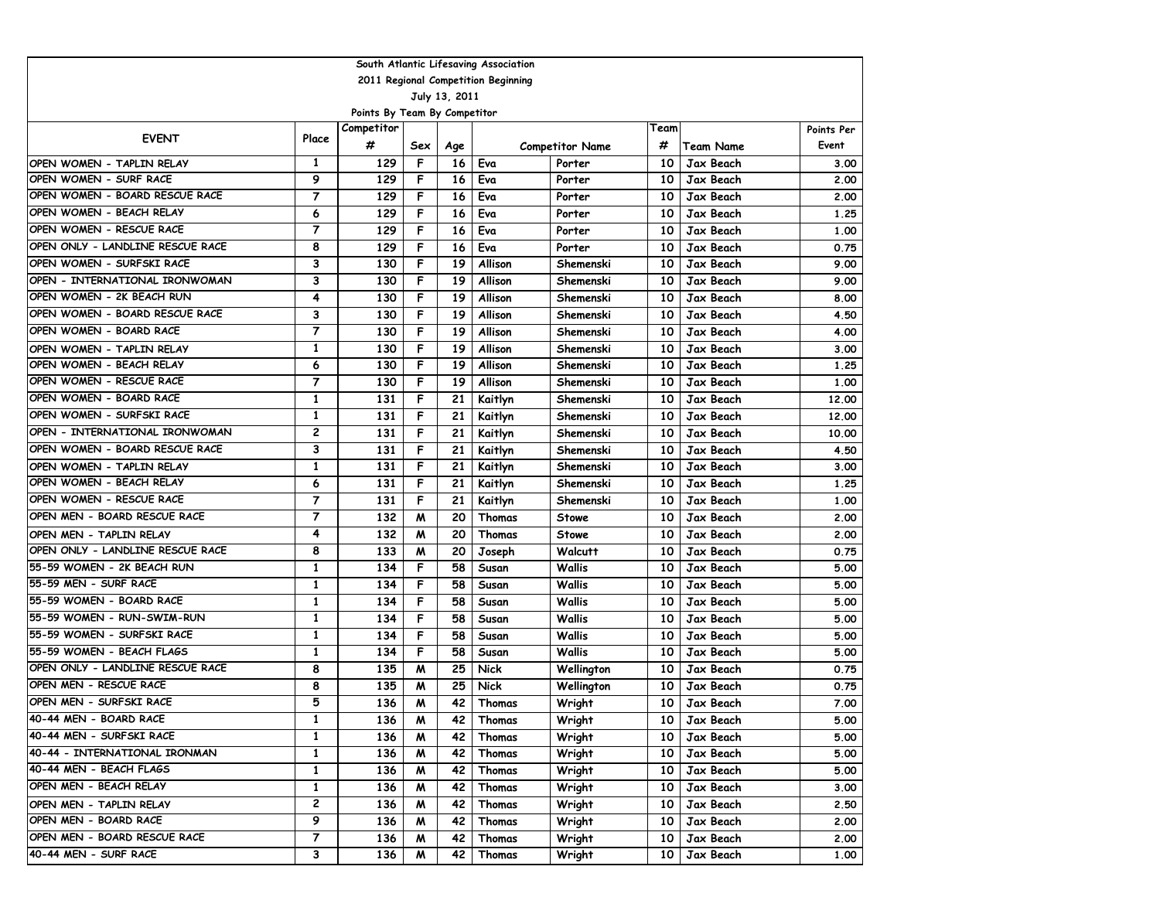| South Atlantic Lifesaving Association |                |                              |     |               |                                     |                        |      |                  |            |  |  |  |
|---------------------------------------|----------------|------------------------------|-----|---------------|-------------------------------------|------------------------|------|------------------|------------|--|--|--|
|                                       |                |                              |     |               | 2011 Regional Competition Beginning |                        |      |                  |            |  |  |  |
|                                       |                |                              |     | July 13, 2011 |                                     |                        |      |                  |            |  |  |  |
|                                       |                | Points By Team By Competitor |     |               |                                     |                        |      |                  |            |  |  |  |
| <b>EVENT</b>                          | Place          | Competitor                   |     |               |                                     |                        | Team |                  | Points Per |  |  |  |
|                                       |                | #                            | Sex | Age           |                                     | <b>Competitor Name</b> | #    | <b>Team Name</b> | Event      |  |  |  |
| OPEN WOMEN - TAPLIN RELAY             | 1              | 129                          | F   | 16            | Eva                                 | Porter                 | 10   | Jax Beach        | 3.00       |  |  |  |
| OPEN WOMEN - SURF RACE                | 9              | 129                          | F   | 16            | Eva                                 | Porter                 | 10   | Jax Beach        | 2.00       |  |  |  |
| OPEN WOMEN - BOARD RESCUE RACE        | $\overline{7}$ | 129                          | F   | 16            | Eva                                 | Porter                 | 10   | Jax Beach        | 2.00       |  |  |  |
| OPEN WOMEN - BEACH RELAY              | 6              | 129                          | F   | 16            | Eva                                 | Porter                 | 10   | Jax Beach        | 1.25       |  |  |  |
| OPEN WOMEN - RESCUE RACE              | $\overline{7}$ | 129                          | F   | 16            | Eva                                 | Porter                 | 10   | Jax Beach        | 1.00       |  |  |  |
| OPEN ONLY - LANDLINE RESCUE RACE      | 8              | 129                          | F   | 16            | Eva                                 | Porter                 | 10   | Jax Beach        | 0.75       |  |  |  |
| OPEN WOMEN - SURFSKI RACE             | 3              | 130                          | F   | 19            | Allison                             | Shemenski              | 10   | Jax Beach        | 9.00       |  |  |  |
| OPEN - INTERNATIONAL IRONWOMAN        | 3              | 130                          | F   | 19            | Allison                             | Shemenski              | 10   | Jax Beach        | 9.00       |  |  |  |
| OPEN WOMEN - 2K BEACH RUN             | 4              | 130                          | F   | 19            | Allison                             | Shemenski              | 10   | Jax Beach        | 8.00       |  |  |  |
| OPEN WOMEN - BOARD RESCUE RACE        | 3              | 130                          | F   | 19            | Allison                             | Shemenski              | 10   | Jax Beach        | 4.50       |  |  |  |
| OPEN WOMEN - BOARD RACE               | 7              | 130                          | F   | 19            | Allison                             | Shemenski              | 10   | Jax Beach        | 4.00       |  |  |  |
| OPEN WOMEN - TAPLIN RELAY             | 1              | 130                          | F   | 19            | Allison                             | Shemenski              | 10   | Jax Beach        | 3.00       |  |  |  |
| OPEN WOMEN - BEACH RELAY              | 6              | 130                          | F   | 19            | Allison                             | Shemenski              | 10   | Jax Beach        | 1.25       |  |  |  |
| OPEN WOMEN - RESCUE RACE              | 7              | 130                          | F   | 19            | Allison                             | Shemenski              | 10   | Jax Beach        | 1.00       |  |  |  |
| OPEN WOMEN - BOARD RACE               | 1              | 131                          | F   | 21            | Kaitlyn                             | Shemenski              | 10   | Jax Beach        | 12.00      |  |  |  |
| OPEN WOMEN - SURFSKI RACE             | $\mathbf{1}$   | 131                          | F   | 21            | Kaitlyn                             | Shemenski              | 10   | Jax Beach        | 12.00      |  |  |  |
| OPEN - INTERNATIONAL IRONWOMAN        | 2              | 131                          | F   | 21            | Kaitlyn                             | Shemenski              | 10   | Jax Beach        | 10.00      |  |  |  |
| OPEN WOMEN - BOARD RESCUE RACE        | 3              | 131                          | F   | 21            | Kaitlyn                             | Shemenski              | 10   | Jax Beach        | 4.50       |  |  |  |
| OPEN WOMEN - TAPLIN RELAY             | $\mathbf{1}$   | 131                          | F   | 21            | Kaitlyn                             | Shemenski              | 10   | Jax Beach        | 3.00       |  |  |  |
| OPEN WOMEN - BEACH RELAY              | 6              | 131                          | F   | 21            | Kaitlyn                             | Shemenski              | 10   | Jax Beach        | 1.25       |  |  |  |
| OPEN WOMEN - RESCUE RACE              | $\overline{7}$ | 131                          | F   | 21            | Kaitlyn                             | Shemenski              | 10   | Jax Beach        | 1.00       |  |  |  |
| OPEN MEN - BOARD RESCUE RACE          | $\overline{7}$ | 132                          | M   | 20            | Thomas                              | <b>Stowe</b>           | 10   | Jax Beach        | 2.00       |  |  |  |
| OPEN MEN - TAPLIN RELAY               | 4              | 132                          | M   | 20            | Thomas                              | <b>Stowe</b>           | 10   | Jax Beach        | 2.00       |  |  |  |
| OPEN ONLY - LANDLINE RESCUE RACE      | 8              | 133                          | M   | 20            | Joseph                              | <b>Walcutt</b>         | 10   | Jax Beach        | 0.75       |  |  |  |
| 155-59 WOMEN - 2K BEACH RUN           | 1              | 134                          | F   | 58            | Susan                               | Wallis                 | 10   | Jax Beach        | 5.00       |  |  |  |
| 55-59 MEN - SURF RACE                 | 1              | 134                          | F   | 58            | Susan                               | Wallis                 | 10   | Jax Beach        | 5.00       |  |  |  |
| 55-59 WOMEN - BOARD RACE              | $\mathbf{1}$   | 134                          | F   | 58            | Susan                               | Wallis                 | 10   | Jax Beach        | 5.00       |  |  |  |
| 55-59 WOMEN - RUN-SWIM-RUN            | 1              | 134                          | F   | 58            | Susan                               | Wallis                 | 10   | Jax Beach        | 5.00       |  |  |  |
| 155-59 WOMEN - SURFSKI RACE           | $\mathbf{1}$   | 134                          | F   | 58            | Susan                               | Wallis                 | 10   | Jax Beach        | 5.00       |  |  |  |
| 55-59 WOMEN - BEACH FLAGS             | $\mathbf{1}$   | 134                          | F   | 58            | Susan                               | Wallis                 | 10   | Jax Beach        | 5.00       |  |  |  |
| OPEN ONLY - LANDLINE RESCUE RACE      | 8              | 135                          | M   | 25            | <b>Nick</b>                         | Wellington             | 10   | Jax Beach        | 0.75       |  |  |  |
| OPEN MEN - RESCUE RACE                | 8              | 135                          | M   | 25            | <b>Nick</b>                         | Wellington             | 10   | Jax Beach        | 0.75       |  |  |  |
| OPEN MEN - SURFSKI RACE               | 5              | 136                          | M   | 42            | Thomas                              | Wright                 | 10   | Jax Beach        | 7.00       |  |  |  |
| 40-44 MEN - BOARD RACE                | 1              | 136                          | M   | 42            | Thomas                              | Wright                 | 10 I | Jax Beach        | 5.00       |  |  |  |
| 40-44 MEN - SURFSKI RACE              | $\mathbf{1}$   | 136                          | M   | 42            | Thomas                              | Wright                 | 10   | Jax Beach        | 5.00       |  |  |  |
| 40-44 - INTERNATIONAL IRONMAN         | 1              | 136                          | M   | 42            | Thomas                              | Wright                 | 10   | Jax Beach        | 5.00       |  |  |  |
| 40-44 MEN - BEACH FLAGS               | 1              | 136                          | M   | 42            | Thomas                              | Wright                 | 10   | Jax Beach        | 5.00       |  |  |  |
| OPEN MEN - BEACH RELAY                | 1              | 136                          | M   | 42            | Thomas                              | Wright                 | 10   | Jax Beach        | 3.00       |  |  |  |
| OPEN MEN - TAPLIN RELAY               | 2              | 136                          | M   | 42            | Thomas                              | Wright                 | 10   | Jax Beach        | 2.50       |  |  |  |
| OPEN MEN - BOARD RACE                 | 9              | 136                          | M   | 42            | Thomas                              | Wright                 | 10   | Jax Beach        | 2.00       |  |  |  |
| OPEN MEN - BOARD RESCUE RACE          | $\overline{7}$ | 136                          | M   | 42            | Thomas                              | Wright                 | 10   | Jax Beach        | 2.00       |  |  |  |
| 40-44 MEN - SURF RACE                 | 3              | 136                          | M   | 42            | Thomas                              | Wright                 | 10   | Jax Beach        | 1.00       |  |  |  |
|                                       |                |                              |     |               |                                     |                        |      |                  |            |  |  |  |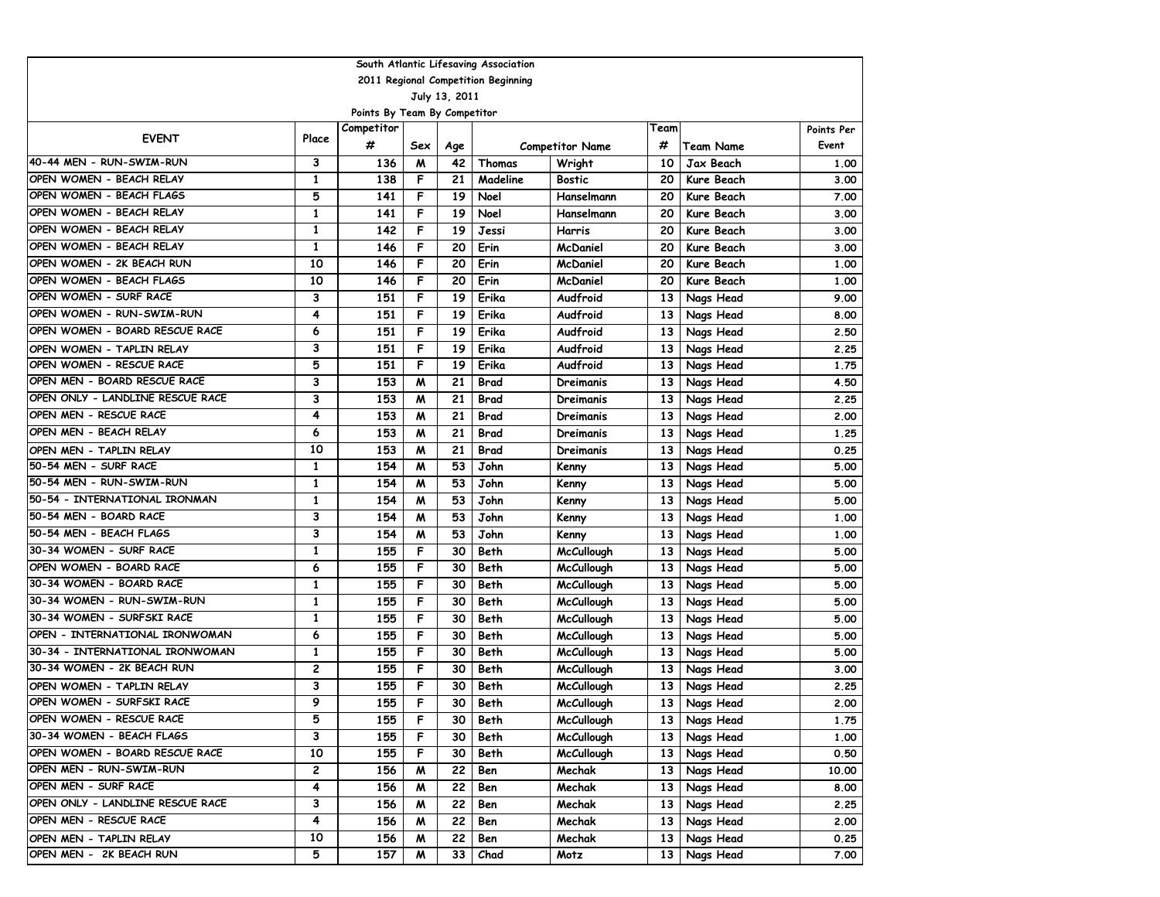| South Atlantic Lifesaving Association |                                     |                              |     |               |             |                        |                 |              |            |  |  |  |
|---------------------------------------|-------------------------------------|------------------------------|-----|---------------|-------------|------------------------|-----------------|--------------|------------|--|--|--|
|                                       | 2011 Regional Competition Beginning |                              |     |               |             |                        |                 |              |            |  |  |  |
|                                       |                                     |                              |     | July 13, 2011 |             |                        |                 |              |            |  |  |  |
|                                       |                                     | Points By Team By Competitor |     |               |             |                        |                 |              |            |  |  |  |
| <b>EVENT</b>                          | Place                               | Competitor                   |     |               |             |                        | Team            |              | Points Per |  |  |  |
|                                       |                                     | #                            | Sex | Age           |             | <b>Competitor Name</b> | #               | Team Name    | Event      |  |  |  |
| 40-44 MEN - RUN-SWIM-RUN              | 3                                   | 136                          | M   | 42            | Thomas      | Wright                 | 10              | Jax Beach    | 1.00       |  |  |  |
| OPEN WOMEN - BEACH RELAY              | 1                                   | 138                          | F   | 21            | Madeline    | Bostic                 | 20              | Kure Beach   | 3.00       |  |  |  |
| OPEN WOMEN - BEACH FLAGS              | 5                                   | 141                          | F   | 19            | Noel        | Hanselmann             | 20              | Kure Beach   | 7.00       |  |  |  |
| OPEN WOMEN - BEACH RELAY              | $\mathbf{1}$                        | 141                          | F   | 19            | Noel        | Hanselmann             | 20              | Kure Beach   | 3.00       |  |  |  |
| OPEN WOMEN - BEACH RELAY              | 1                                   | 142                          | F   | 19            | Jessi       | <b>Harris</b>          | 20              | Kure Beach   | 3.00       |  |  |  |
| OPEN WOMEN - BEACH RELAY              | 1                                   | 146                          | F   | 20            | Erin        | McDaniel               | 20              | Kure Beach   | 3.00       |  |  |  |
| OPEN WOMEN - 2K BEACH RUN             | 10                                  | 146                          | F   | 20            | Erin        | McDaniel               | 20              | Kure Beach   | 1.00       |  |  |  |
| OPEN WOMEN - BEACH FLAGS              | 10                                  | 146                          | F   | 20            | Erin        | McDaniel               | 20              | Kure Beach   | 1.00       |  |  |  |
| OPEN WOMEN - SURF RACE                | 3                                   | 151                          | F   | 19            | Erika       | Audfroid               | 13              | Nags Head    | 9.00       |  |  |  |
| OPEN WOMEN - RUN-SWIM-RUN             | 4                                   | 151                          | F   | 19            | Erika       | Audfroid               | 13              | Nags Head    | 8.00       |  |  |  |
| OPEN WOMEN - BOARD RESCUE RACE        | 6                                   | 151                          | F   | 19            | Erika       | Audfroid               | 13              | Nags Head    | 2.50       |  |  |  |
| OPEN WOMEN - TAPLIN RELAY             | 3                                   | 151                          | F   | 19            | Erika       | Audfroid               | 13              | Nags Head    | 2.25       |  |  |  |
| OPEN WOMEN - RESCUE RACE              | 5                                   | 151                          | F   | 19            | Erika       | Audfroid               | 13              | Nags Head    | 1.75       |  |  |  |
| OPEN MEN - BOARD RESCUE RACE          | 3                                   | 153                          | M   | 21            | <b>Brad</b> | Dreimanis              | 13              | Nags Head    | 4.50       |  |  |  |
| OPEN ONLY - LANDLINE RESCUE RACE      | 3                                   | 153                          | M   | 21            | Brad        | Dreimanis              | 13              | Nags Head    | 2.25       |  |  |  |
| OPEN MEN - RESCUE RACE                | 4                                   | 153                          | M   | 21            | Brad        | Dreimanis              | 13              | Nags Head    | 2.00       |  |  |  |
| OPEN MEN - BEACH RELAY                | 6                                   | 153                          | M   | 21            | <b>Brad</b> | Dreimanis              | 13              | Nags Head    | 1.25       |  |  |  |
| OPEN MEN - TAPLIN RELAY               | 10                                  | 153                          | M   | 21            | <b>Brad</b> | Dreimanis              | 13              | Nags Head    | 0.25       |  |  |  |
| 50-54 MEN - SURF RACE                 | 1                                   | 154                          | M   | 53            | John        | Kenny                  | 13              | Nags Head    | 5.00       |  |  |  |
| 50-54 MEN - RUN-SWIM-RUN              | 1                                   | 154                          | M   | 53            | John        | Kenny                  | 13              | Nags Head    | 5.00       |  |  |  |
| 50-54 - INTERNATIONAL IRONMAN         | 1                                   | 154                          | M   | 53            | John        | Kenny                  | 13              | Nags Head    | 5.00       |  |  |  |
| 50-54 MEN - BOARD RACE                | 3                                   | 154                          | M   | 53            | John        | Kenny                  | 13              | Nags Head    | 1.00       |  |  |  |
| 50-54 MEN - BEACH FLAGS               | 3                                   | 154                          | M   | 53            | John        | Kenny                  | 13              | Nags Head    | 1.00       |  |  |  |
| 30-34 WOMEN - SURF RACE               | 1                                   | 155                          | F   | 30            | Beth        | McCullough             | 13              | Nags Head    | 5.00       |  |  |  |
| OPEN WOMEN - BOARD RACE               | 6                                   | 155                          | F   | 30            | Beth        | <b>McCullough</b>      | 13              | Nags Head    | 5.00       |  |  |  |
| 30-34 WOMEN - BOARD RACE              | 1                                   | 155                          | F   | 30            | Beth        | <b>McCullough</b>      | 13              | Nags Head    | 5.00       |  |  |  |
| 30-34 WOMEN - RUN-SWIM-RUN            | $\mathbf{1}$                        | 155                          | F   | 30            | Beth        | <b>McCullough</b>      | 13              | Nags Head    | 5.00       |  |  |  |
| 30-34 WOMEN - SURFSKI RACE            | $\mathbf{1}$                        | 155                          | F   | 30            | Beth        | McCullough             | 13              | Nags Head    | 5.00       |  |  |  |
| OPEN - INTERNATIONAL IRONWOMAN        | 6                                   | 155                          | F   | 30            | Beth        | <b>McCullough</b>      | 13              | Nags Head    | 5.00       |  |  |  |
| 30-34 - INTERNATIONAL IRONWOMAN       | 1                                   | 155                          | F   | 30            | Beth        | <b>McCullough</b>      | 13              | Nags Head    | 5.00       |  |  |  |
| 30-34 WOMEN - 2K BEACH RUN            | 2                                   | 155                          | F   | 30            | Beth        | <b>McCullough</b>      | 13              | Nags Head    | 3.00       |  |  |  |
| OPEN WOMEN - TAPLIN RELAY             | 3                                   | 155                          | F   | 30            | Beth        | <b>McCullough</b>      | 13              | Nags Head    | 2.25       |  |  |  |
| OPEN WOMEN - SURFSKI RACE             | 9                                   | 155                          | F   | 30            | Beth        | McCullough             | 13              | Nags Head    | 2.00       |  |  |  |
| OPEN WOMEN - RESCUE RACE              | 5                                   | 155                          | F   | 30            | Beth        | <b>McCullough</b>      |                 | 13 Nags Head | 1.75       |  |  |  |
| 30-34 WOMEN - BEACH FLAGS             | 3                                   | 155                          | F   | 30            | Beth        | <b>McCullough</b>      | 13 <sup>1</sup> | Nags Head    | 1.00       |  |  |  |
| OPEN WOMEN - BOARD RESCUE RACE        | 10                                  | 155                          | F   | 30            | Beth        | McCullough             |                 | 13 Nags Head | 0.50       |  |  |  |
| OPEN MEN - RUN-SWIM-RUN               | 2                                   | 156                          | M   | 22            | Ben         | Mechak                 |                 | 13 Nags Head | 10.00      |  |  |  |
| OPEN MEN - SURF RACE                  | 4                                   | 156                          | M   | 22            | Ben         | Mechak                 | 13              | Nags Head    | 8.00       |  |  |  |
| OPEN ONLY - LANDLINE RESCUE RACE      | 3                                   | 156                          | M   | 22            | Ben         | Mechak                 | 13 <sup>1</sup> | Nags Head    | 2.25       |  |  |  |
| OPEN MEN - RESCUE RACE                | 4                                   | 156                          | M   | 22            | Ben         | Mechak                 | 13 <sup>1</sup> | Nags Head    | 2.00       |  |  |  |
| OPEN MEN - TAPLIN RELAY               | 10                                  | 156                          | M   | 22            | Ben         | Mechak                 | 13 <sup>1</sup> | Nags Head    | 0.25       |  |  |  |
| OPEN MEN - 2K BEACH RUN               | 5                                   | 157                          | M   | 33            | Chad        | Motz                   |                 | 13 Nags Head | 7.00       |  |  |  |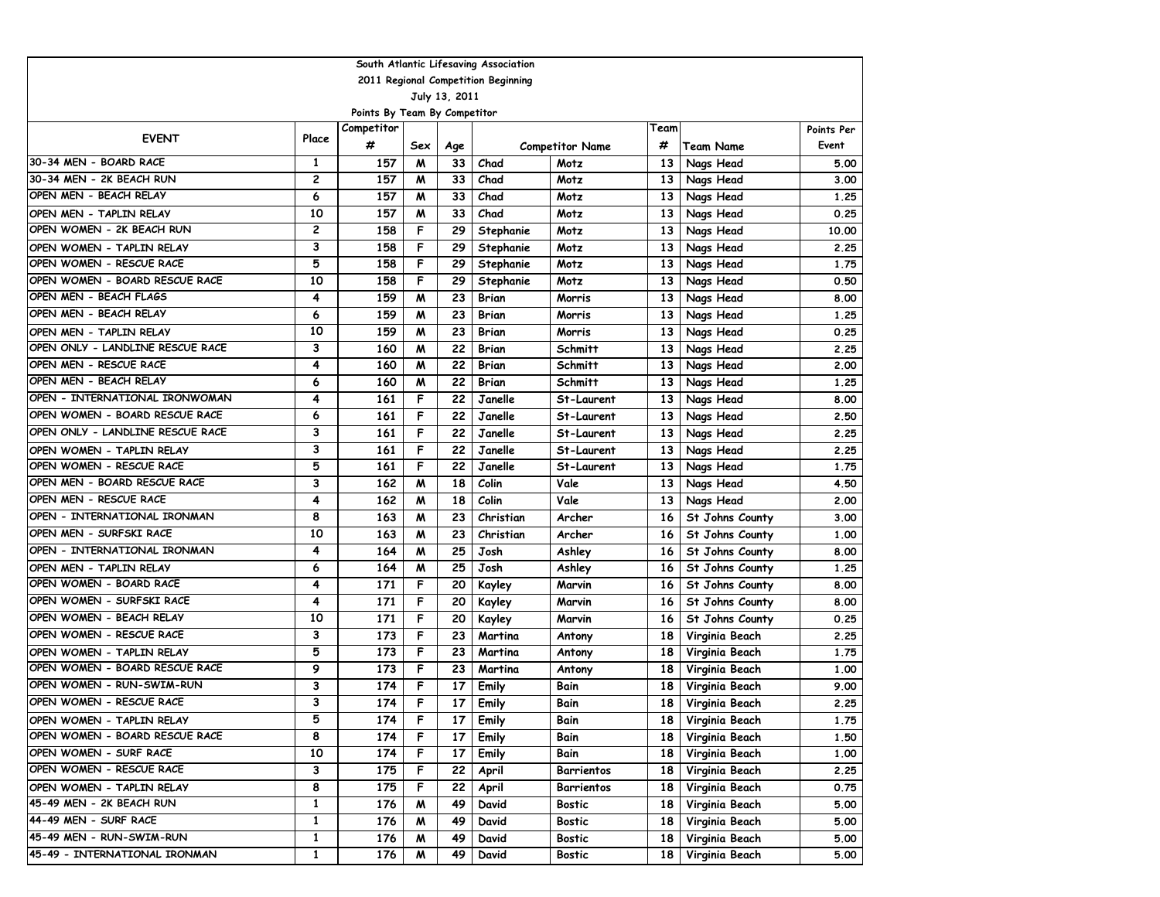| South Atlantic Lifesaving Association |                |                              |     |                 |                                     |                        |                 |                   |            |  |  |
|---------------------------------------|----------------|------------------------------|-----|-----------------|-------------------------------------|------------------------|-----------------|-------------------|------------|--|--|
|                                       |                |                              |     |                 | 2011 Regional Competition Beginning |                        |                 |                   |            |  |  |
|                                       |                |                              |     | July 13, 2011   |                                     |                        |                 |                   |            |  |  |
|                                       |                | Points By Team By Competitor |     |                 |                                     |                        |                 |                   |            |  |  |
| <b>EVENT</b>                          | Place          | Competitor                   |     |                 |                                     |                        | Team            |                   | Points Per |  |  |
|                                       |                | #                            | Sex | Age             |                                     | <b>Competitor Name</b> | #               | <b>Team Name</b>  | Event      |  |  |
| 30-34 MEN - BOARD RACE                | 1              | 157                          | M   | 33              | Chad                                | Motz                   | 13              | Nags Head         | 5.00       |  |  |
| 30-34 MEN - 2K BEACH RUN              | $\overline{c}$ | 157                          | M   | 33              | Chad                                | Motz                   | 13              | Nags Head         | 3.00       |  |  |
| OPEN MEN - BEACH RELAY                | 6              | 157                          | M   | 33              | Chad                                | Motz                   | 13              | Nags Head         | 1.25       |  |  |
| OPEN MEN - TAPLIN RELAY               | 10             | 157                          | M   | 33              | Chad                                | Motz                   | 13              | Nags Head         | 0.25       |  |  |
| OPEN WOMEN - 2K BEACH RUN             | 2              | 158                          | F   | 29              | Stephanie                           | Motz                   | 13              | Nags Head         | 10.00      |  |  |
| OPEN WOMEN - TAPLIN RELAY             | 3              | 158                          | F   | 29              | Stephanie                           | Motz                   | 13              | Nags Head         | 2.25       |  |  |
| OPEN WOMEN - RESCUE RACE              | 5              | 158                          | F   | 29              | Stephanie                           | Motz                   | 13              | Nags Head         | 1.75       |  |  |
| OPEN WOMEN - BOARD RESCUE RACE        | 10             | 158                          | F   | 29              | Stephanie                           | Motz                   | 13              | Nags Head         | 0.50       |  |  |
| OPEN MEN - BEACH FLAGS                | 4              | 159                          | M   | 23              | Brian                               | Morris                 | 13              | Nags Head         | 8.00       |  |  |
| OPEN MEN - BEACH RELAY                | 6              | 159                          | M   | 23              | Brian                               | Morris                 | 13              | Nags Head         | 1.25       |  |  |
| OPEN MEN - TAPLIN RELAY               | 10             | 159                          | M   | 23              | Brian                               | Morris                 | 13              | Nags Head         | 0.25       |  |  |
| OPEN ONLY - LANDLINE RESCUE RACE      | 3              | 160                          | M   | 22              | <b>Brian</b>                        | Schmitt                | 13              | Nags Head         | 2.25       |  |  |
| OPEN MEN - RESCUE RACE                | 4              | 160                          | M   | 22              | Brian                               | <b>Schmitt</b>         | 13              | Nags Head         | 2.00       |  |  |
| OPEN MEN - BEACH RELAY                | 6              | 160                          | M   | 22              | <b>Brian</b>                        | Schmitt                | 13              | Nags Head         | 1.25       |  |  |
| OPEN - INTERNATIONAL IRONWOMAN        | 4              | 161                          | F   | 22              | Janelle                             | St-Laurent             | 13              | Nags Head         | 8.00       |  |  |
| OPEN WOMEN - BOARD RESCUE RACE        | 6              | 161                          | F   | 22              | Janelle                             | St-Laurent             | 13              | Nags Head         | 2.50       |  |  |
| OPEN ONLY - LANDLINE RESCUE RACE      | 3              | 161                          | F   | 22              | Janelle                             | St-Laurent             | 13              | Nags Head         | 2.25       |  |  |
| OPEN WOMEN - TAPLIN RELAY             | 3              | 161                          | F   | 22              | Janelle                             | St-Laurent             | 13              | Nags Head         | 2.25       |  |  |
| OPEN WOMEN - RESCUE RACE              | 5              | 161                          | F   | 22              | Janelle                             | St-Laurent             | 13              | Nags Head         | 1.75       |  |  |
| OPEN MEN - BOARD RESCUE RACE          | 3              | 162                          | M   | 18              | Colin                               | Vale                   | 13              | Nags Head         | 4.50       |  |  |
| OPEN MEN - RESCUE RACE                | 4              | 162                          | M   | 18              | Colin                               | Vale                   | 13              | Nags Head         | 2.00       |  |  |
| OPEN - INTERNATIONAL IRONMAN          | 8              | 163                          | M   | 23              | Christian                           | Archer                 | 16              | St Johns County   | 3.00       |  |  |
| OPEN MEN - SURFSKI RACE               | 10             | 163                          | M   | 23              | Christian                           | Archer                 | 16              | St Johns County   | 1.00       |  |  |
| OPEN - INTERNATIONAL IRONMAN          | 4              | 164                          | M   | 25              | Josh                                | Ashley                 | 16              | St Johns County   | 8.00       |  |  |
| OPEN MEN - TAPLIN RELAY               | 6              | 164                          | M   | 25              | Josh                                | Ashley                 | 16              | St Johns County   | 1.25       |  |  |
| OPEN WOMEN - BOARD RACE               | 4              | 171                          | F   | 20              | Kayley                              | Marvin                 | 16              | St Johns County   | 8.00       |  |  |
| OPEN WOMEN - SURFSKI RACE             | 4              | 171                          | F   | 20              | Kayley                              | Marvin                 | 16              | St Johns County   | 8.00       |  |  |
| OPEN WOMEN - BEACH RELAY              | 10             | 171                          | F   | 20              | Kayley                              | Marvin                 | 16              | St Johns County   | 0.25       |  |  |
| OPEN WOMEN - RESCUE RACE              | 3              | 173                          | F   | 23              | Martina                             | Antony                 | 18              | Virginia Beach    | 2.25       |  |  |
| OPEN WOMEN - TAPLIN RELAY             | 5              | 173                          | F   | 23              | Martina                             | Antony                 | 18              | Virginia Beach    | 1.75       |  |  |
| OPEN WOMEN - BOARD RESCUE RACE        | 9              | 173                          | F   | 23              | Martina                             | Antony                 | 18              | Virginia Beach    | 1.00       |  |  |
| OPEN WOMEN - RUN-SWIM-RUN             | 3              | 174                          | F   | 17              | Emily                               | Bain                   | 18              | Virginia Beach    | 9.00       |  |  |
| OPEN WOMEN - RESCUE RACE              | 3              | 174                          | F   | 17              | Emily                               | Bain                   | 18              | Virginia Beach    | 2.25       |  |  |
| OPEN WOMEN - TAPLIN RELAY             | 5              | 174                          | F.  | 17 <sup>1</sup> | Emily                               | Bain                   |                 | 18 Virginia Beach | 1.75       |  |  |
| OPEN WOMEN - BOARD RESCUE RACE        | 8              | 174                          | F   | 17              | Emily                               | Bain                   | 18 I            | Virginia Beach    | 1.50       |  |  |
| OPEN WOMEN - SURF RACE                | 10             | 174                          | F   | 17              | Emily                               | Bain                   | 18              | Virginia Beach    | 1.00       |  |  |
| OPEN WOMEN - RESCUE RACE              | 3              | 175                          | F   | 22              | April                               | Barrientos             | 18 <sub>1</sub> | Virginia Beach    | 2.25       |  |  |
| OPEN WOMEN - TAPLIN RELAY             | 8              | 175                          | F   | 22              | April                               | Barrientos             | 18 I            | Virginia Beach    | 0.75       |  |  |
| 45-49 MEN - 2K BEACH RUN              | 1              | 176                          | M   | 49              | David                               | <b>Bostic</b>          | 18 I            | Virginia Beach    | 5.00       |  |  |
| 44-49 MEN - SURF RACE                 | 1              | 176                          | M   | 49              | David                               | Bostic                 | 18 I            | Virginia Beach    | 5.00       |  |  |
| 45-49 MEN - RUN-SWIM-RUN              | 1              | 176                          | M   | 49              | David                               | Bostic                 | 18              | Virginia Beach    | 5.00       |  |  |
| 45-49 - INTERNATIONAL IRONMAN         | $\mathbf{1}$   | 176                          | M   | 49              | David                               | <b>Bostic</b>          | 18              | Virginia Beach    | 5.00       |  |  |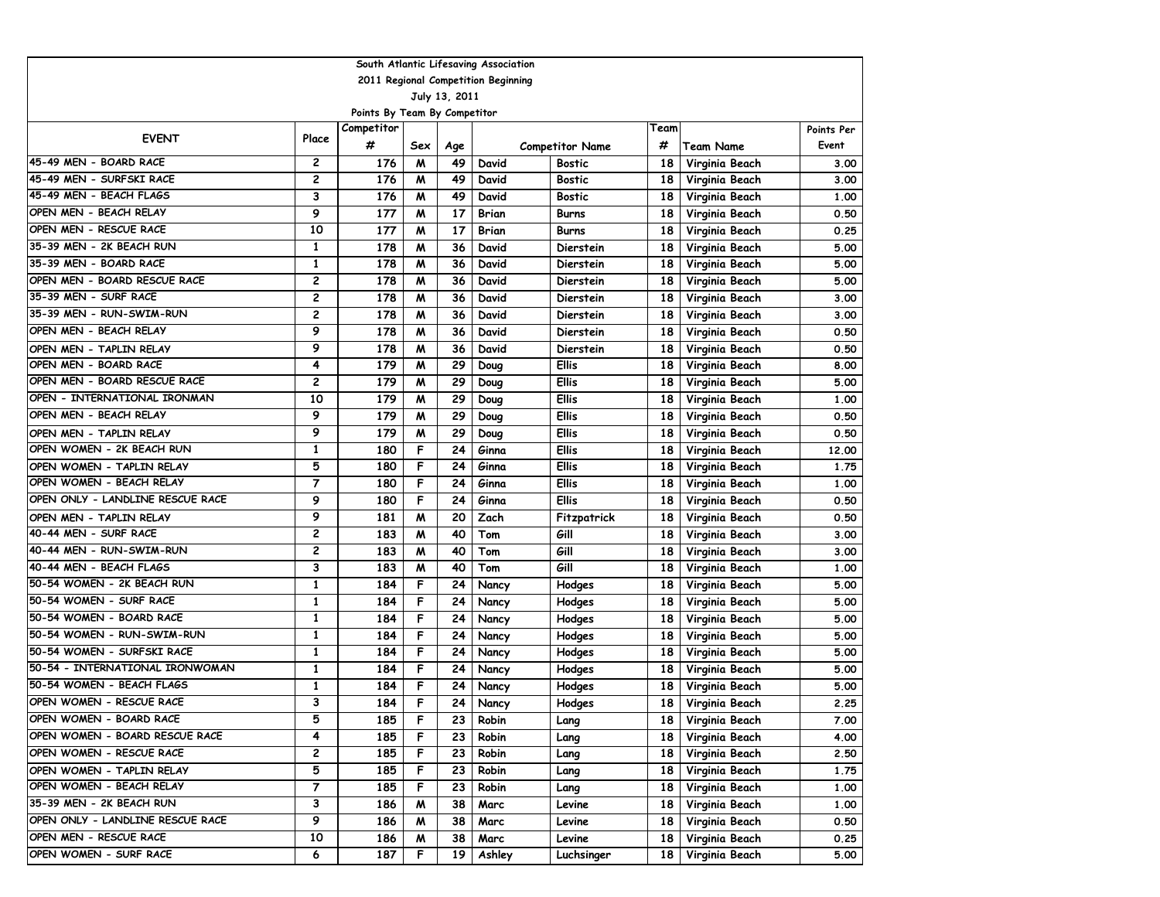| South Atlantic Lifesaving Association |                |                              |     |               |                                     |                        |                 |                  |            |  |  |  |
|---------------------------------------|----------------|------------------------------|-----|---------------|-------------------------------------|------------------------|-----------------|------------------|------------|--|--|--|
|                                       |                |                              |     |               | 2011 Regional Competition Beginning |                        |                 |                  |            |  |  |  |
|                                       |                |                              |     | July 13, 2011 |                                     |                        |                 |                  |            |  |  |  |
|                                       |                | Points By Team By Competitor |     |               |                                     |                        |                 |                  |            |  |  |  |
| <b>EVENT</b>                          | Place          | Competitor                   |     |               |                                     |                        | Team            |                  | Points Per |  |  |  |
|                                       |                | #                            | Sex | Age           |                                     | <b>Competitor Name</b> | #               | <b>Team Name</b> | Event      |  |  |  |
| 45-49 MEN - BOARD RACE                | 2              | 176                          | M   | 49            | David                               | <b>Bostic</b>          | 18              | Virginia Beach   | 3.00       |  |  |  |
| 45-49 MEN - SURFSKI RACE              | $\overline{c}$ | 176                          | M   | 49            | David                               | <b>Bostic</b>          | 18              | Virginia Beach   | 3.00       |  |  |  |
| 45-49 MEN - BEACH FLAGS               | 3              | 176                          | M   | 49            | David                               | Bostic                 | 18              | Virginia Beach   | 1.00       |  |  |  |
| OPEN MEN - BEACH RELAY                | 9              | 177                          | M   | 17            | Brian                               | Burns                  | 18              | Virginia Beach   | 0.50       |  |  |  |
| OPEN MEN - RESCUE RACE                | 10             | 177                          | M   | 17            | <b>Brian</b>                        | Burns                  | 18              | Virginia Beach   | 0.25       |  |  |  |
| 35-39 MEN - 2K BEACH RUN              | 1              | 178                          | M   | 36            | David                               | Dierstein              | 18              | Virginia Beach   | 5.00       |  |  |  |
| 35-39 MEN - BOARD RACE                | 1              | 178                          | M   | 36            | David                               | Dierstein              | 18              | Virginia Beach   | 5.00       |  |  |  |
| OPEN MEN - BOARD RESCUE RACE          | $\overline{c}$ | 178                          | M   | 36            | David                               | Dierstein              | 18              | Virginia Beach   | 5.00       |  |  |  |
| 35-39 MEN - SURF RACE                 | 2              | 178                          | M   | 36            | David                               | Dierstein              | 18              | Virginia Beach   | 3.00       |  |  |  |
| 35-39 MEN - RUN-SWIM-RUN              | 2              | 178                          | M   | 36            | David                               | Dierstein              | 18              | Virginia Beach   | 3.00       |  |  |  |
| OPEN MEN - BEACH RELAY                | 9              | 178                          | M   | 36            | David                               | Dierstein              | 18              | Virginia Beach   | 0.50       |  |  |  |
| OPEN MEN - TAPLIN RELAY               | 9              | 178                          | M   | 36            | David                               | Dierstein              | 18              | Virginia Beach   | 0.50       |  |  |  |
| OPEN MEN - BOARD RACE                 | 4              | 179                          | M   | 29            | Doug                                | <b>Ellis</b>           | 18              | Virginia Beach   | 8.00       |  |  |  |
| OPEN MEN - BOARD RESCUE RACE          | $\overline{c}$ | 179                          | M   | 29            | Doug                                | <b>Ellis</b>           | 18              | Virginia Beach   | 5.00       |  |  |  |
| OPEN - INTERNATIONAL IRONMAN          | 10             | 179                          | M   | 29            | Doug                                | <b>Ellis</b>           | 18              | Virginia Beach   | 1.00       |  |  |  |
| OPEN MEN - BEACH RELAY                | 9              | 179                          | M   | 29            | Doug                                | <b>Ellis</b>           | 18              | Virginia Beach   | 0.50       |  |  |  |
| OPEN MEN - TAPLIN RELAY               | 9              | 179                          | M   | 29            | Doug                                | <b>Ellis</b>           | 18              | Virginia Beach   | 0.50       |  |  |  |
| OPEN WOMEN - 2K BEACH RUN             | 1              | 180                          | F   | 24            | Ginna                               | <b>Ellis</b>           | 18              | Virginia Beach   | 12,00      |  |  |  |
| OPEN WOMEN - TAPLIN RELAY             | 5              | 180                          | F   | 24            | Ginna                               | <b>Ellis</b>           | 18              | Virginia Beach   | 1.75       |  |  |  |
| OPEN WOMEN - BEACH RELAY              | $\overline{7}$ | 180                          | F   | 24            | Ginna                               | <b>Ellis</b>           | 18              | Virginia Beach   | 1.00       |  |  |  |
| OPEN ONLY - LANDLINE RESCUE RACE      | 9              | 180                          | F   | 24            | Ginna                               | <b>Ellis</b>           | 18              | Virginia Beach   | 0.50       |  |  |  |
| OPEN MEN - TAPLIN RELAY               | 9              | 181                          | M   | 20            | Zach                                | Fitzpatrick            | 18              | Virginia Beach   | 0.50       |  |  |  |
| 40-44 MEN - SURF RACE                 | 2              | 183                          | M   | 40            | Tom                                 | Gill                   | 18              | Virginia Beach   | 3.00       |  |  |  |
| 40-44 MEN - RUN-SWIM-RUN              | 2              | 183                          | M   | 40            | Tom                                 | Gill                   | 18              | Virginia Beach   | 3.00       |  |  |  |
| 40-44 MEN - BEACH FLAGS               | 3              | 183                          | M   | 40            | Tom                                 | Gill                   | 18              | Virginia Beach   | 1.00       |  |  |  |
| 50-54 WOMEN - 2K BEACH RUN            | 1              | 184                          | F   | 24            | Nancy                               | Hodges                 | 18              | Virginia Beach   | 5.00       |  |  |  |
| 50-54 WOMEN - SURF RACE               | 1              | 184                          | F   | 24            | Nancy                               | Hodges                 | 18              | Virginia Beach   | 5.00       |  |  |  |
| 50-54 WOMEN - BOARD RACE              | $\mathbf{1}$   | 184                          | F   | 24            | Nancy                               | Hodges                 | 18              | Virginia Beach   | 5.00       |  |  |  |
| 50-54 WOMEN - RUN-SWIM-RUN            | $\mathbf{1}$   | 184                          | F   | 24            | Nancy                               | Hodges                 | 18              | Virginia Beach   | 5.00       |  |  |  |
| 50-54 WOMEN - SURFSKI RACE            | $\mathbf{1}$   | 184                          | F   | 24            | Nancy                               | Hodges                 | 18              | Virginia Beach   | 5.00       |  |  |  |
| 50-54 - INTERNATIONAL IRONWOMAN       | $\mathbf{1}$   | 184                          | F   | 24            | Nancy                               | Hodges                 | 18              | Virginia Beach   | 5.00       |  |  |  |
| 50-54 WOMEN - BEACH FLAGS             | 1              | 184                          | F   | 24            | Nancy                               | Hodges                 | 18              | Virginia Beach   | 5.00       |  |  |  |
| OPEN WOMEN - RESCUE RACE              | 3              | 184                          | F   | 24            | Nancy                               | Hodges                 | 18              | Virginia Beach   | 2.25       |  |  |  |
| OPEN WOMEN - BOARD RACE               | 5              | 185                          | F   | 23            | Robin                               | Lang                   | 18 I            | Virginia Beach   | 7.00       |  |  |  |
| OPEN WOMEN - BOARD RESCUE RACE        | 4              | 185                          | F   | 23            | Robin                               | Lang                   | 18              | Virginia Beach   | 4.00       |  |  |  |
| OPEN WOMEN - RESCUE RACE              | 2              | 185                          | F   | 23            | Robin                               | Lang                   | 18              | Virginia Beach   | 2.50       |  |  |  |
| OPEN WOMEN - TAPLIN RELAY             | 5              | 185                          | F   | 23            | Robin                               | Lang                   | 18 <sub>1</sub> | Virginia Beach   | 1.75       |  |  |  |
| OPEN WOMEN - BEACH RELAY              | 7              | 185                          | F   | 23            | Robin                               | Lang                   | 18              | Virginia Beach   | 1.00       |  |  |  |
| 35-39 MEN - 2K BEACH RUN              | 3              | 186                          | M   | 38            | Marc                                | Levine                 | 18              | Virginia Beach   | 1.00       |  |  |  |
| OPEN ONLY - LANDLINE RESCUE RACE      | 9              | 186                          | M   | 38            | Marc                                | Levine                 | 18              | Virginia Beach   | 0.50       |  |  |  |
| OPEN MEN - RESCUE RACE                | 10             | 186                          | M   | 38            | Marc                                | Levine                 | 18              | Virginia Beach   | 0.25       |  |  |  |
| OPEN WOMEN - SURF RACE                | 6              | 187                          | F   | 19            | Ashley                              | Luchsinger             | 18              | Virginia Beach   | 5.00       |  |  |  |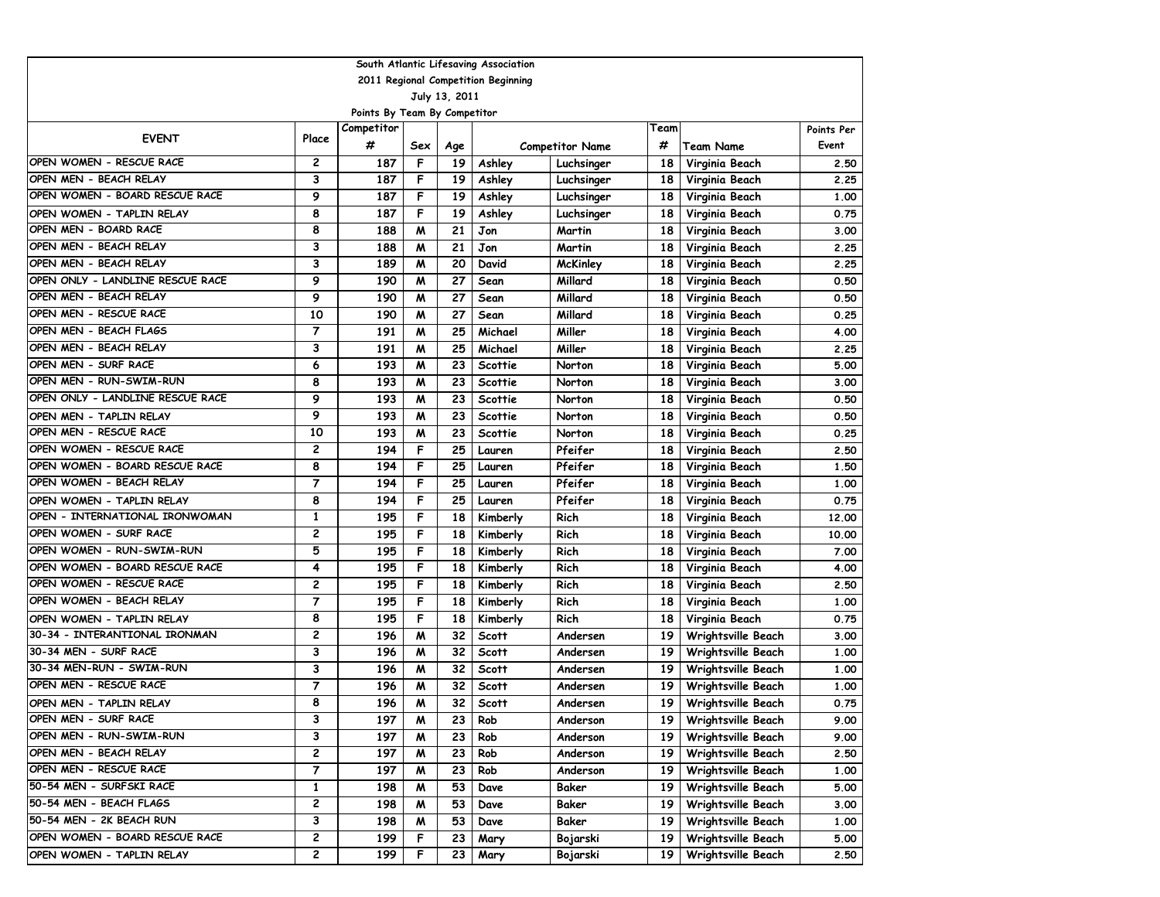| South Atlantic Lifesaving Association |                                     |                              |     |               |              |                        |                 |                    |            |  |  |  |
|---------------------------------------|-------------------------------------|------------------------------|-----|---------------|--------------|------------------------|-----------------|--------------------|------------|--|--|--|
|                                       | 2011 Regional Competition Beginning |                              |     |               |              |                        |                 |                    |            |  |  |  |
|                                       |                                     |                              |     | July 13, 2011 |              |                        |                 |                    |            |  |  |  |
|                                       |                                     | Points By Team By Competitor |     |               |              |                        |                 |                    |            |  |  |  |
| <b>EVENT</b>                          | Place                               | Competitor                   |     |               |              |                        | Team            |                    | Points Per |  |  |  |
|                                       |                                     | #                            | Sex | Age           |              | <b>Competitor Name</b> | #               | Team Name          | Event      |  |  |  |
| OPEN WOMEN - RESCUE RACE              | 2                                   | 187                          | F   | 19            | Ashley       | Luchsinger             | 18              | Virginia Beach     | 2.50       |  |  |  |
| OPEN MEN - BEACH RELAY                | 3                                   | 187                          | F   | 19            | Ashley       | Luchsinger             | 18              | Virginia Beach     | 2.25       |  |  |  |
| OPEN WOMEN - BOARD RESCUE RACE        | 9                                   | 187                          | F   | 19            | Ashley       | Luchsinger             | 18              | Virginia Beach     | 1.00       |  |  |  |
| OPEN WOMEN - TAPLIN RELAY             | 8                                   | 187                          | F   | 19            | Ashley       | Luchsinger             | 18              | Virginia Beach     | 0.75       |  |  |  |
| OPEN MEN - BOARD RACE                 | 8                                   | 188                          | M   | 21            | Jon          | Martin                 | 18              | Virginia Beach     | 3.00       |  |  |  |
| OPEN MEN - BEACH RELAY                | 3                                   | 188                          | M   | 21            | Jon          | Martin                 | 18              | Virginia Beach     | 2.25       |  |  |  |
| OPEN MEN - BEACH RELAY                | 3                                   | 189                          | M   | 20            | David        | <b>McKinley</b>        | 18              | Virginia Beach     | 2.25       |  |  |  |
| OPEN ONLY - LANDLINE RESCUE RACE      | 9                                   | 190                          | M   | 27            | Sean         | Millard                | 18              | Virginia Beach     | 0.50       |  |  |  |
| OPEN MEN - BEACH RELAY                | 9                                   | 190                          | M   | 27            | Sean         | Millard                | 18              | Virginia Beach     | 0.50       |  |  |  |
| OPEN MEN - RESCUE RACE                | 10                                  | 190                          | M   | 27            | Sean         | Millard                | 18              | Virginia Beach     | 0.25       |  |  |  |
| OPEN MEN - BEACH FLAGS                | 7                                   | 191                          | M   | 25            | Michael      | Miller                 | 18              | Virginia Beach     | 4.00       |  |  |  |
| OPEN MEN - BEACH RELAY                | 3                                   | 191                          | M   | 25            | Michael      | Miller                 | 18              | Virginia Beach     | 2.25       |  |  |  |
| OPEN MEN - SURF RACE                  | 6                                   | 193                          | M   | 23            | Scottie      | Norton                 | 18              | Virginia Beach     | 5.00       |  |  |  |
| OPEN MEN - RUN-SWIM-RUN               | 8                                   | 193                          | M   | 23            | Scottie      | Norton                 | 18              | Virginia Beach     | 3.00       |  |  |  |
| OPEN ONLY - LANDLINE RESCUE RACE      | 9                                   | 193                          | M   | 23            | Scottie      | Norton                 | 18              | Virginia Beach     | 0.50       |  |  |  |
| OPEN MEN - TAPLIN RELAY               | 9                                   | 193                          | M   | 23            | Scottie      | Norton                 | 18              | Virginia Beach     | 0.50       |  |  |  |
| OPEN MEN - RESCUE RACE                | 10                                  | 193                          | M   | 23            | Scottie      | Norton                 | 18              | Virginia Beach     | 0.25       |  |  |  |
| OPEN WOMEN - RESCUE RACE              | 2                                   | 194                          | F   | 25            | Lauren       | Pfeifer                | 18              | Virginia Beach     | 2.50       |  |  |  |
| OPEN WOMEN - BOARD RESCUE RACE        | 8                                   | 194                          | F   | 25            | Lauren       | Pfeifer                | 18              | Virginia Beach     | 1.50       |  |  |  |
| OPEN WOMEN - BEACH RELAY              | 7                                   | 194                          | F   | 25            | Lauren       | Pfeifer                | 18              | Virginia Beach     | 1.00       |  |  |  |
| OPEN WOMEN - TAPLIN RELAY             | 8                                   | 194                          | F   | 25            | Lauren       | Pfeifer                | 18              | Virginia Beach     | 0.75       |  |  |  |
| OPEN - INTERNATIONAL IRONWOMAN        | $\mathbf{1}$                        | 195                          | F   | 18            | Kimberly     | Rich                   | 18              | Virginia Beach     | 12.00      |  |  |  |
| OPEN WOMEN - SURF RACE                | 2                                   | 195                          | F   | 18            | Kimberly     | Rich                   | 18              | Virginia Beach     | 10.00      |  |  |  |
| OPEN WOMEN - RUN-SWIM-RUN             | 5                                   | 195                          | F   | 18            | Kimberly     | Rich                   | 18              | Virginia Beach     | 7.00       |  |  |  |
| OPEN WOMEN - BOARD RESCUE RACE        | 4                                   | 195                          | F   | 18            | Kimberly     | Rich                   | 18              | Virginia Beach     | 4.00       |  |  |  |
| OPEN WOMEN - RESCUE RACE              | 2                                   | 195                          | F   | 18            | Kimberly     | Rich                   | 18              | Virginia Beach     | 2.50       |  |  |  |
| OPEN WOMEN - BEACH RELAY              | $\overline{7}$                      | 195                          | F   | 18            | Kimberly     | Rich                   | 18              | Virginia Beach     | 1.00       |  |  |  |
| OPEN WOMEN - TAPLIN RELAY             | 8                                   | 195                          | F   | 18            | Kimberly     | Rich                   | 18              | Virginia Beach     | 0.75       |  |  |  |
| 30-34 - INTERANTIONAL IRONMAN         | 2                                   | 196                          | M   | 32            | <b>Scott</b> | Andersen               | 19              | Wrightsville Beach | 3.00       |  |  |  |
| 30-34 MEN - SURF RACE                 | 3                                   | 196                          | M   | 32            | <b>Scott</b> | Andersen               | 19              | Wrightsville Beach | 1.00       |  |  |  |
| 30-34 MEN-RUN - SWIM-RUN              | 3                                   | 196                          | M   | 32            | <b>Scott</b> | Andersen               | 19              | Wrightsville Beach | 1.00       |  |  |  |
| OPEN MEN - RESCUE RACE                | 7                                   | 196                          | M   | 32            | <b>Scott</b> | Andersen               | 19              | Wrightsville Beach | 1.00       |  |  |  |
| OPEN MEN - TAPLIN RELAY               | 8                                   | 196                          | W   | 32            | <b>Scott</b> | Andersen               | 19              | Wrightsville Beach | 0.75       |  |  |  |
| OPEN MEN - SURF RACE                  | 3                                   | 197                          | M   | 23            | Rob          | Anderson               | 19 I            | Wrightsville Beach | 9.00       |  |  |  |
| OPEN MEN - RUN-SWIM-RUN               | 3                                   | 197                          | M   | 23            | Rob          | Anderson               | 19 <sup>1</sup> | Wrightsville Beach | 9.00       |  |  |  |
| OPEN MEN - BEACH RELAY                | 2                                   | 197                          | M   | 23            | Rob          | Anderson               | 19 <sup>1</sup> | Wrightsville Beach | 2.50       |  |  |  |
| OPEN MEN - RESCUE RACE                | 7                                   | 197                          | M   | 23            | Rob          | Anderson               | 19 <sup>1</sup> | Wrightsville Beach | 1.00       |  |  |  |
| 50-54 MEN - SURFSKI RACE              | 1                                   | 198                          | M   | 53            | Dave         | Baker                  | 19              | Wrightsville Beach | 5.00       |  |  |  |
| 50-54 MEN - BEACH FLAGS               | 2                                   | 198                          | M   | 53            | Dave         | Baker                  | 19              | Wrightsville Beach | 3.00       |  |  |  |
| 50-54 MEN - 2K BEACH RUN              | 3                                   | 198                          | M   | 53            | Dave         | Baker                  | 19              | Wrightsville Beach | 1.00       |  |  |  |
| OPEN WOMEN - BOARD RESCUE RACE        | 2                                   | 199                          | F   | 23            | Mary         | Bojarski               | 19              | Wrightsville Beach | 5.00       |  |  |  |
| OPEN WOMEN - TAPLIN RELAY             | 2                                   | 199                          | F   | 23            | Mary         | Bojarski               | 19              | Wrightsville Beach | 2.50       |  |  |  |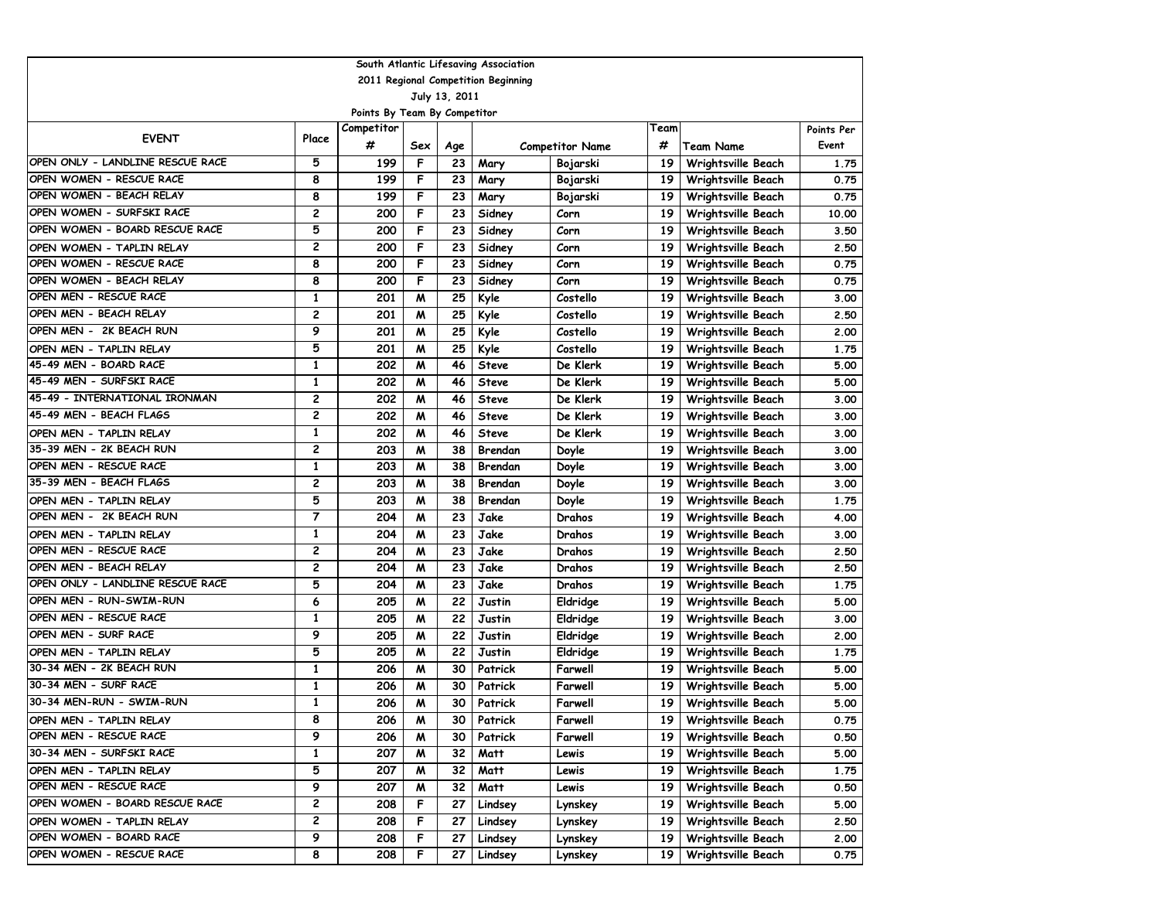|                                  |              |                              |     |               | South Atlantic Lifesaving Association |                        |      |                    |            |
|----------------------------------|--------------|------------------------------|-----|---------------|---------------------------------------|------------------------|------|--------------------|------------|
|                                  |              |                              |     |               | 2011 Regional Competition Beginning   |                        |      |                    |            |
|                                  |              |                              |     | July 13, 2011 |                                       |                        |      |                    |            |
|                                  |              | Points By Team By Competitor |     |               |                                       |                        |      |                    |            |
| <b>EVENT</b>                     | Place        | Competitor                   |     |               |                                       |                        | Team |                    | Points Per |
|                                  |              | #                            | Sex | Age           |                                       | <b>Competitor Name</b> | #    | <b>Team Name</b>   | Event      |
| OPEN ONLY - LANDLINE RESCUE RACE | 5            | 199                          | F   | 23            | Mary                                  | Bojarski               | 19   | Wrightsville Beach | 1.75       |
| OPEN WOMEN - RESCUE RACE         | 8            | 199                          | F   | 23            | Mary                                  | Bojarski               | 19   | Wrightsville Beach | 0.75       |
| OPEN WOMEN - BEACH RELAY         | 8            | 199                          | F   | 23            | Mary                                  | Bojarski               | 19   | Wrightsville Beach | 0.75       |
| OPEN WOMEN - SURFSKI RACE        | 2            | 200                          | F   | 23            | Sidney                                | Corn                   | 19   | Wrightsville Beach | 10.00      |
| OPEN WOMEN - BOARD RESCUE RACE   | 5            | 200                          | F   | 23            | Sidney                                | Corn                   | 19   | Wrightsville Beach | 3.50       |
| OPEN WOMEN - TAPLIN RELAY        | 2            | 200                          | F   | 23            | Sidney                                | Corn                   | 19   | Wrightsville Beach | 2.50       |
| OPEN WOMEN - RESCUE RACE         | 8            | 200                          | F   | 23            | Sidney                                | Corn                   | 19   | Wrightsville Beach | 0.75       |
| OPEN WOMEN - BEACH RELAY         | 8            | 200                          | F   | 23            | Sidney                                | Corn                   | 19   | Wrightsville Beach | 0.75       |
| OPEN MEN - RESCUE RACE           | $\mathbf{1}$ | 201                          | M   | 25            | Kyle                                  | Costello               | 19   | Wrightsville Beach | 3.00       |
| OPEN MEN - BEACH RELAY           | 2            | 201                          | M   | 25            | Kyle                                  | Costello               | 19   | Wrightsville Beach | 2.50       |
| OPEN MEN - 2K BEACH RUN          | 9            | 201                          | M   | 25            | Kyle                                  | Costello               | 19   | Wrightsville Beach | 2.00       |
| OPEN MEN - TAPLIN RELAY          | 5            | 201                          | M   | 25            | Kyle                                  | Costello               | 19   | Wrightsville Beach | 1.75       |
| 45-49 MEN - BOARD RACE           | 1            | 202                          | M   | 46            | Steve                                 | De Klerk               | 19   | Wrightsville Beach | 5.00       |
| 45-49 MEN - SURFSKI RACE         | 1            | 202                          | M   | 46            | <b>Steve</b>                          | De Klerk               | 19   | Wrightsville Beach | 5.00       |
| 45-49 - INTERNATIONAL IRONMAN    | 2            | 202                          | M   | 46            | <b>Steve</b>                          | De Klerk               | 19   | Wrightsville Beach | 3.00       |
| 45-49 MEN - BEACH FLAGS          | 2            | 202                          | M   | 46            | Steve                                 | De Klerk               | 19   | Wrightsville Beach | 3.00       |
| OPEN MEN - TAPLIN RELAY          | $\mathbf{1}$ | 202                          | M   | 46            | Steve                                 | De Klerk               | 19   | Wrightsville Beach | 3.00       |
| 35-39 MEN - 2K BEACH RUN         | 2            | 203                          | M   | 38            | Brendan                               | Doyle                  | 19   | Wrightsville Beach | 3.00       |
| OPEN MEN - RESCUE RACE           | 1            | 203                          | M   | 38            | Brendan                               | Doyle                  | 19   | Wrightsville Beach | 3.00       |
| 35-39 MEN - BEACH FLAGS          | 2            | 203                          | M   | 38            | Brendan                               | Doyle                  | 19   | Wrightsville Beach | 3.00       |
| OPEN MEN - TAPLIN RELAY          | 5            | 203                          | M   | 38            | Brendan                               | Doyle                  | 19   | Wrightsville Beach | 1.75       |
| OPEN MEN - 2K BEACH RUN          | 7            | 204                          | M   | 23            | Jake                                  | Drahos                 | 19   | Wrightsville Beach | 4.00       |
| OPEN MEN - TAPLIN RELAY          | $\mathbf{1}$ | 204                          | M   | 23            | Jake                                  | Drahos                 | 19   | Wrightsville Beach | 3.00       |
| OPEN MEN - RESCUE RACE           | 2            | 204                          | M   | 23            | Jake                                  | Drahos                 | 19   | Wrightsville Beach | 2.50       |
| OPEN MEN - BEACH RELAY           | 2            | 204                          | M   | 23            | Jake                                  | Drahos                 | 19   | Wrightsville Beach | 2.50       |
| OPEN ONLY - LANDLINE RESCUE RACE | 5            | 204                          | M   | 23            | Jake                                  | Drahos                 | 19   | Wrightsville Beach | 1.75       |
| OPEN MEN - RUN-SWIM-RUN          | 6            | 205                          | M   | 22            | Justin                                | Eldridge               | 19   | Wrightsville Beach | 5.00       |
| OPEN MEN - RESCUE RACE           | $\mathbf{1}$ | 205                          | M   | 22            | Justin                                | Eldridge               | 19   | Wrightsville Beach | 3.00       |
| OPEN MEN - SURF RACE             | 9            | 205                          | M   | 22            | Justin                                | Eldridge               | 19   | Wrightsville Beach | 2.00       |
| OPEN MEN - TAPLIN RELAY          | 5            | 205                          | M   | 22            | Justin                                | Eldridge               | 19   | Wrightsville Beach | 1.75       |
| 30-34 MEN - 2K BEACH RUN         | $\mathbf{1}$ | 206                          | M   | 30            | Patrick                               | Farwell                | 19   | Wrightsville Beach | 5.00       |
| 30-34 MEN - SURF RACE            | 1            | 206                          | M   | 30            | Patrick                               | Farwell                | 19   | Wrightsville Beach | 5.00       |
| 30-34 MEN-RUN - SWIM-RUN         | 1            | 206                          | M   | 30            | Patrick                               | Farwell                | 19   | Wrightsville Beach | 5.00       |
| OPEN MEN - TAPLIN RELAY          | 8            | 206                          | M   | 30            | Patrick                               | Farwell                | 19   | Wrightsville Beach | 0.75       |
| OPEN MEN - RESCUE RACE           | 9            | 206                          | M   | 30            | Patrick                               | Farwell                | 19   | Wrightsville Beach | 0.50       |
| 30-34 MEN - SURFSKI RACE         | 1            | 207                          | M   | 32            | Matt                                  | Lewis                  | 19   | Wrightsville Beach | 5.00       |
| OPEN MEN - TAPLIN RELAY          | 5            | 207                          | M   | 32            | Matt                                  | Lewis                  | 19   | Wrightsville Beach | 1.75       |
| OPEN MEN - RESCUE RACE           | 9            | 207                          | M   | 32            | Matt                                  | Lewis                  | 19   | Wrightsville Beach | 0.50       |
| OPEN WOMEN - BOARD RESCUE RACE   | 2            | 208                          | F.  | 27            | Lindsey                               | Lynskey                | 19   | Wrightsville Beach | 5.00       |
| OPEN WOMEN - TAPLIN RELAY        | 2            | 208                          | F.  | 27            | Lindsey                               | Lynskey                | 19   | Wrightsville Beach | 2.50       |
| OPEN WOMEN - BOARD RACE          | 9            | 208                          | F   | 27            | Lindsey                               | Lynskey                | 19   | Wrightsville Beach | 2.00       |
| OPEN WOMEN - RESCUE RACE         | 8            | 208                          | F   | 27            | Lindsey                               | Lynskey                | 19   | Wrightsville Beach | 0.75       |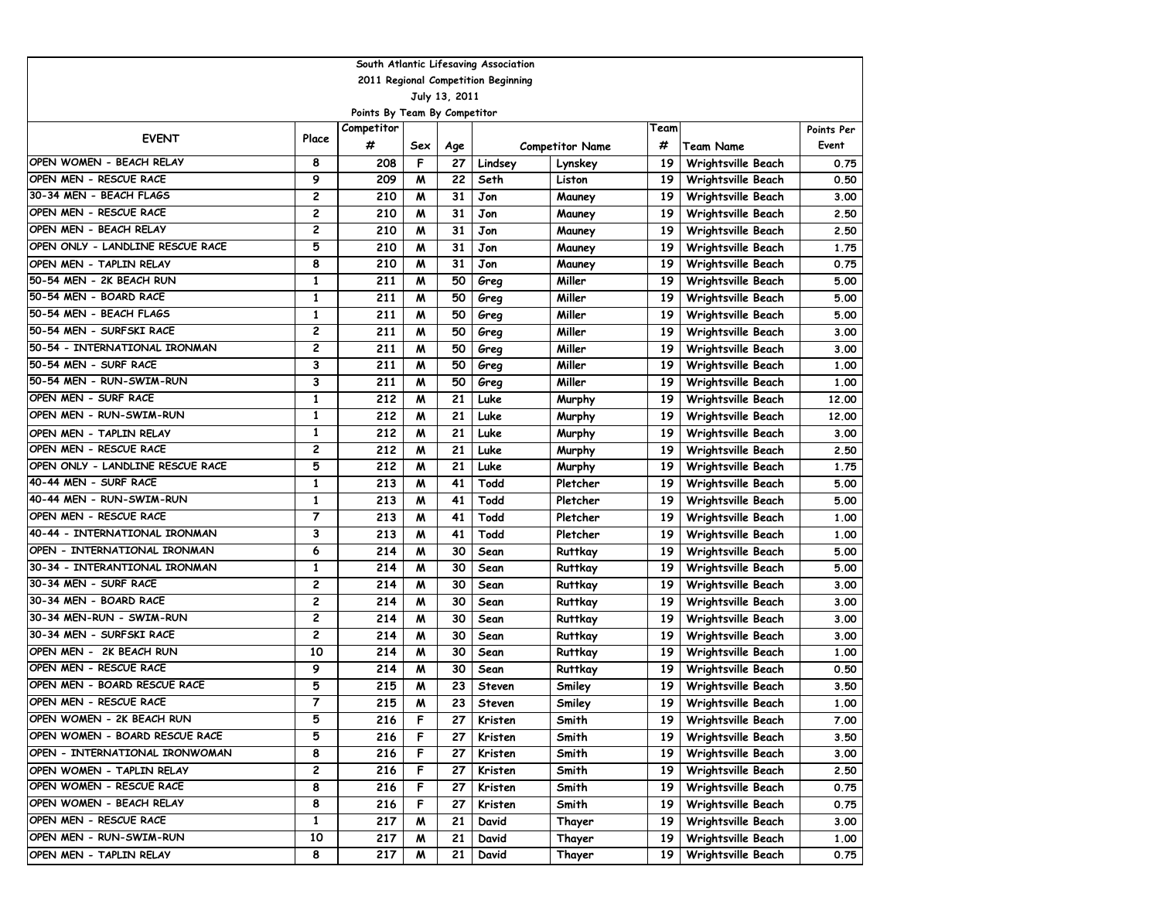|                                     |                |                              |                  |               | South Atlantic Lifesaving Association |                        |      |                           |            |
|-------------------------------------|----------------|------------------------------|------------------|---------------|---------------------------------------|------------------------|------|---------------------------|------------|
| 2011 Regional Competition Beginning |                |                              |                  |               |                                       |                        |      |                           |            |
|                                     |                |                              |                  | July 13, 2011 |                                       |                        |      |                           |            |
|                                     |                | Points By Team By Competitor |                  |               |                                       |                        |      |                           |            |
| <b>EVENT</b>                        | Place          | Competitor                   |                  |               |                                       |                        | Team |                           | Points Per |
|                                     |                | #                            | Sex              | Age           |                                       | <b>Competitor Name</b> | #    | Team Name                 | Event      |
| OPEN WOMEN - BEACH RELAY            | 8              | 208                          | F                | 27            | Lindsey                               | Lynskey                | 19   | Wrightsville Beach        | 0.75       |
| OPEN MEN - RESCUE RACE              | 9              | 209                          | M                | 22            | Seth                                  | Liston                 | 19   | Wrightsville Beach        | 0.50       |
| 30-34 MEN - BEACH FLAGS             | 2              | 210                          | M                | 31            | Jon                                   | Mauney                 | 19   | Wrightsville Beach        | 3.00       |
| OPEN MEN - RESCUE RACE              | 2              | 210                          | M                | 31            | Jon                                   | Mauney                 | 19   | Wrightsville Beach        | 2.50       |
| OPEN MEN - BEACH RELAY              | 2              | 210                          | M                | 31            | Jon                                   | Mauney                 | 19   | Wrightsville Beach        | 2.50       |
| OPEN ONLY - LANDLINE RESCUE RACE    | 5              | 210                          | M                | 31            | Jon                                   | Mauney                 | 19   | Wrightsville Beach        | 1.75       |
| OPEN MEN - TAPLIN RELAY             | 8              | 210                          | M                | 31            | Jon                                   | Mauney                 | 19   | <b>Wrightsville Beach</b> | 0.75       |
| 50-54 MEN - 2K BEACH RUN            | $\mathbf{1}$   | 211                          | M                | 50            | Greg                                  | Miller                 | 19   | Wrightsville Beach        | 5.00       |
| 50-54 MEN - BOARD RACE              | $\mathbf{1}$   | 211                          | M                | 50            | Greg                                  | Miller                 | 19   | Wrightsville Beach        | 5.00       |
| 50-54 MEN - BEACH FLAGS             | 1              | 211                          | M                | 50            | Greg                                  | Miller                 | 19   | Wrightsville Beach        | 5.00       |
| 50-54 MEN - SURFSKI RACE            | 2              | 211                          | M                | 50            | Greg                                  | Miller                 | 19   | Wrightsville Beach        | 3.00       |
| 50-54 - INTERNATIONAL IRONMAN       | 2              | 211                          | M                | 50            | Greg                                  | Miller                 | 19   | Wrightsville Beach        | 3.00       |
| 50-54 MEN - SURF RACE               | 3              | 211                          | M                | 50            | Greg                                  | Miller                 | 19   | Wrightsville Beach        | 1.00       |
| 50-54 MEN - RUN-SWIM-RUN            | 3              | 211                          | M                | 50            | Greg                                  | Miller                 | 19   | Wrightsville Beach        | 1.00       |
| OPEN MEN - SURF RACE                | $\mathbf{1}$   | 212                          | $\boldsymbol{M}$ | 21            | Luke                                  | Murphy                 | 19   | Wrightsville Beach        | 12.00      |
| OPEN MEN - RUN-SWIM-RUN             | $\mathbf{1}$   | 212                          | M                | 21            | Luke                                  | Murphy                 | 19   | Wrightsville Beach        | 12.00      |
| OPEN MEN - TAPLIN RELAY             | 1              | 212                          | M                | 21            | Luke                                  | Murphy                 | 19   | Wrightsville Beach        | 3.00       |
| OPEN MEN - RESCUE RACE              | 2              | 212                          | M                | 21            | Luke                                  | Murphy                 | 19   | <b>Wrightsville Beach</b> | 2.50       |
| OPEN ONLY - LANDLINE RESCUE RACE    | 5              | 212                          | M                | 21            | Luke                                  | Murphy                 | 19   | Wrightsville Beach        | 1.75       |
| 40-44 MEN - SURF RACE               | $\mathbf{1}$   | 213                          | M                | 41            | Todd                                  | Pletcher               | 19   | Wrightsville Beach        | 5.00       |
| 40-44 MEN - RUN-SWIM-RUN            | $\mathbf{1}$   | 213                          | M                | 41            | Todd                                  | Pletcher               | 19   | Wrightsville Beach        | 5.00       |
| OPEN MEN - RESCUE RACE              | 7              | 213                          | M                | 41            | Todd                                  | Pletcher               | 19   | Wrightsville Beach        | 1.00       |
| 40-44 - INTERNATIONAL IRONMAN       | 3              | 213                          | M                | 41            | Todd                                  | Pletcher               | 19   | Wrightsville Beach        | 1.00       |
| OPEN - INTERNATIONAL IRONMAN        | 6              | 214                          | M                | 30            | Sean                                  | Ruttkay                | 19   | Wrightsville Beach        | 5.00       |
| 30-34 - INTERANTIONAL IRONMAN       | 1              | 214                          | M                | 30            | Sean                                  | Ruttkay                | 19   | Wrightsville Beach        | 5.00       |
| 30-34 MEN - SURF RACE               | 2              | 214                          | M                | 30            | Sean                                  | Ruttkay                | 19   | Wrightsville Beach        | 3.00       |
| 30-34 MEN - BOARD RACE              | 2              | 214                          | M                | 30            | Sean                                  | Ruttkay                | 19   | Wrightsville Beach        | 3.00       |
| 30-34 MEN-RUN - SWIM-RUN            | 2              | 214                          | M                | 30            | Sean                                  | Ruttkay                | 19   | Wrightsville Beach        | 3.00       |
| 30-34 MEN - SURFSKI RACE            | 2              | 214                          | M                | 30            | Sean                                  | Ruttkay                | 19   | Wrightsville Beach        | 3.00       |
| OPEN MEN - 2K BEACH RUN             | 10             | 214                          | M                | 30            | Sean                                  | Ruttkay                | 19   | Wrightsville Beach        | 1.00       |
| OPEN MEN - RESCUE RACE              | 9              | 214                          | M                | 30            | Sean                                  | Ruttkay                | 19   | Wrightsville Beach        | 0.50       |
| OPEN MEN - BOARD RESCUE RACE        | 5              | 215                          | M                | 23            | <b>Steven</b>                         | Smiley                 | 19   | Wrightsville Beach        | 3.50       |
| OPEN MEN - RESCUE RACE              | $\overline{7}$ | 215                          | M                | 23            | <b>Steven</b>                         | Smiley                 | 19   | Wrightsville Beach        | 1.00       |
| OPEN WOMEN - 2K BEACH RUN           | 5              | 216                          | F                | 27            | Kristen                               | Smith                  | 19   | Wrightsville Beach        | 7.00       |
| OPEN WOMEN - BOARD RESCUE RACE      | 5              | 216                          | F                | 27            | Kristen                               | Smith                  | 19   | Wrightsville Beach        | 3.50       |
| OPEN - INTERNATIONAL IRONWOMAN      | 8              | 216                          | F                | 27            | Kristen                               | Smith                  | 19   | Wrightsville Beach        | 3.00       |
| OPEN WOMEN - TAPLIN RELAY           | 2              | 216                          | F                | 27            | Kristen                               | Smith                  | 19   | Wrightsville Beach        | 2.50       |
| OPEN WOMEN - RESCUE RACE            | 8              | 216                          | F                | 27            | Kristen                               | Smith                  | 19   | Wrightsville Beach        | 0.75       |
| OPEN WOMEN - BEACH RELAY            | 8              | 216                          | F                | 27            | Kristen                               | Smith                  | 19   | Wrightsville Beach        | 0.75       |
| OPEN MEN - RESCUE RACE              | 1              | 217                          | M                | 21            | David                                 | Thayer                 | 19   | Wrightsville Beach        | 3.00       |
| OPEN MEN - RUN-SWIM-RUN             | 10             | 217                          | M                | 21            | David                                 | Thayer                 | 19   | Wrightsville Beach        | 1.00       |
| OPEN MEN - TAPLIN RELAY             | 8              | 217                          | M                | 21            | David                                 | Thayer                 | 19   | Wrightsville Beach        | 0.75       |
|                                     |                |                              |                  |               |                                       |                        |      |                           |            |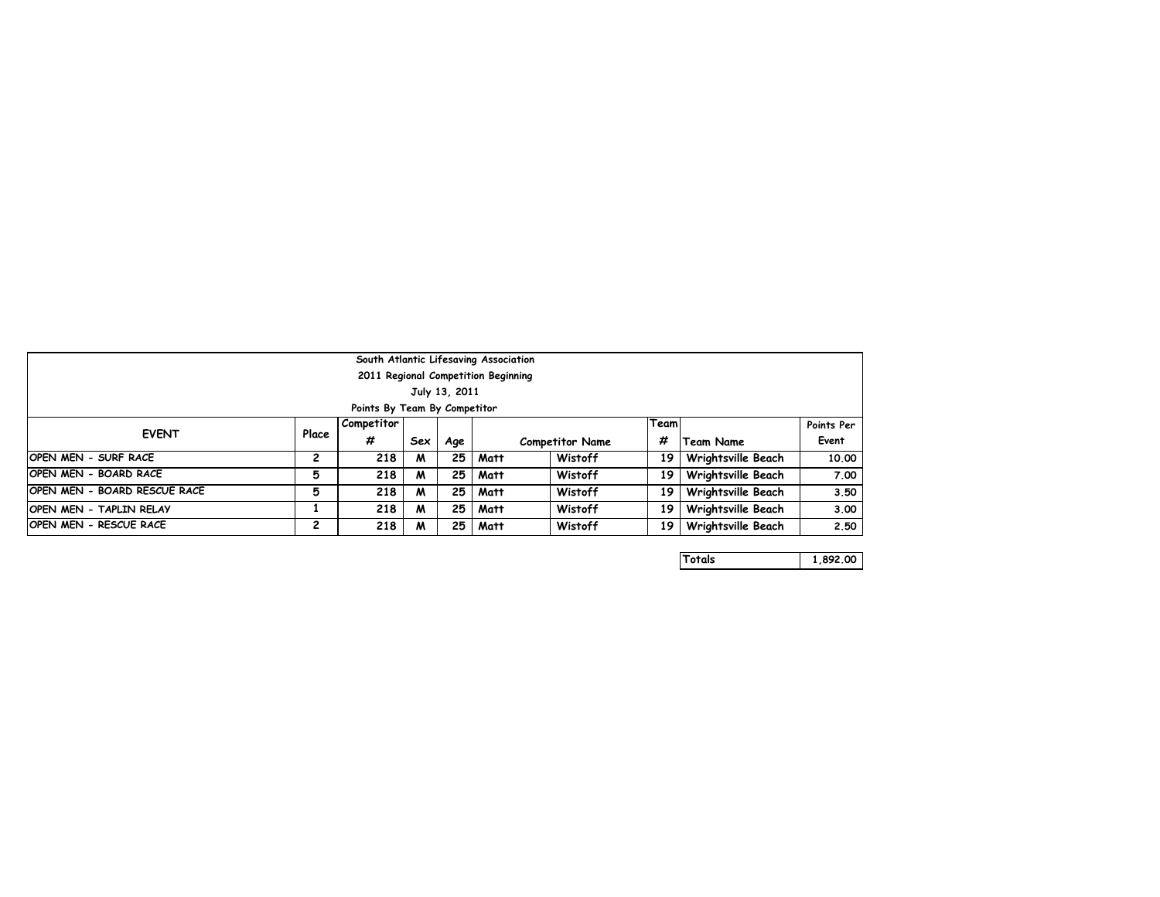| South Atlantic Lifesaving Association |       |                              |     |     |             |                        |      |                    |            |  |
|---------------------------------------|-------|------------------------------|-----|-----|-------------|------------------------|------|--------------------|------------|--|
| 2011 Regional Competition Beginning   |       |                              |     |     |             |                        |      |                    |            |  |
| July 13, 2011                         |       |                              |     |     |             |                        |      |                    |            |  |
|                                       |       | Points By Team By Competitor |     |     |             |                        |      |                    |            |  |
|                                       |       | Competitor                   |     |     |             |                        | Team |                    | Points Per |  |
| <b>EVENT</b>                          | Place | #                            | Sex | Age |             | <b>Competitor Name</b> |      | Team Name          | Event      |  |
| <b>OPEN MEN - SURF RACE</b>           | 2     | 218                          | M   | 25  | Matt        | Wistoff                | 19   | Wrightsville Beach | 10.00      |  |
| <b>OPEN MEN - BOARD RACE</b>          | 5     | 218                          | M   | 25  | Matt        | Wistoff                | 19   | Wrightsville Beach | 7.00       |  |
| <b>OPEN MEN - BOARD RESCUE RACE</b>   | 5     | 218                          | M   | 25  | Matt        | Wistoff                | 19   | Wrightsville Beach | 3.50       |  |
| <b>OPEN MEN - TAPLIN RELAY</b>        |       | 218                          | M   | 25  | Matt        | Wistoff                | 19   | Wrightsville Beach | 3.00       |  |
| <b>OPEN MEN - RESCUE RACE</b>         | 2     | 218                          | M   |     | $25$   Matt | Wistoff                | 19   | Wrightsville Beach | 2.50       |  |

|  | Totals<br>Н | 892.00<br>I |
|--|-------------|-------------|
|--|-------------|-------------|